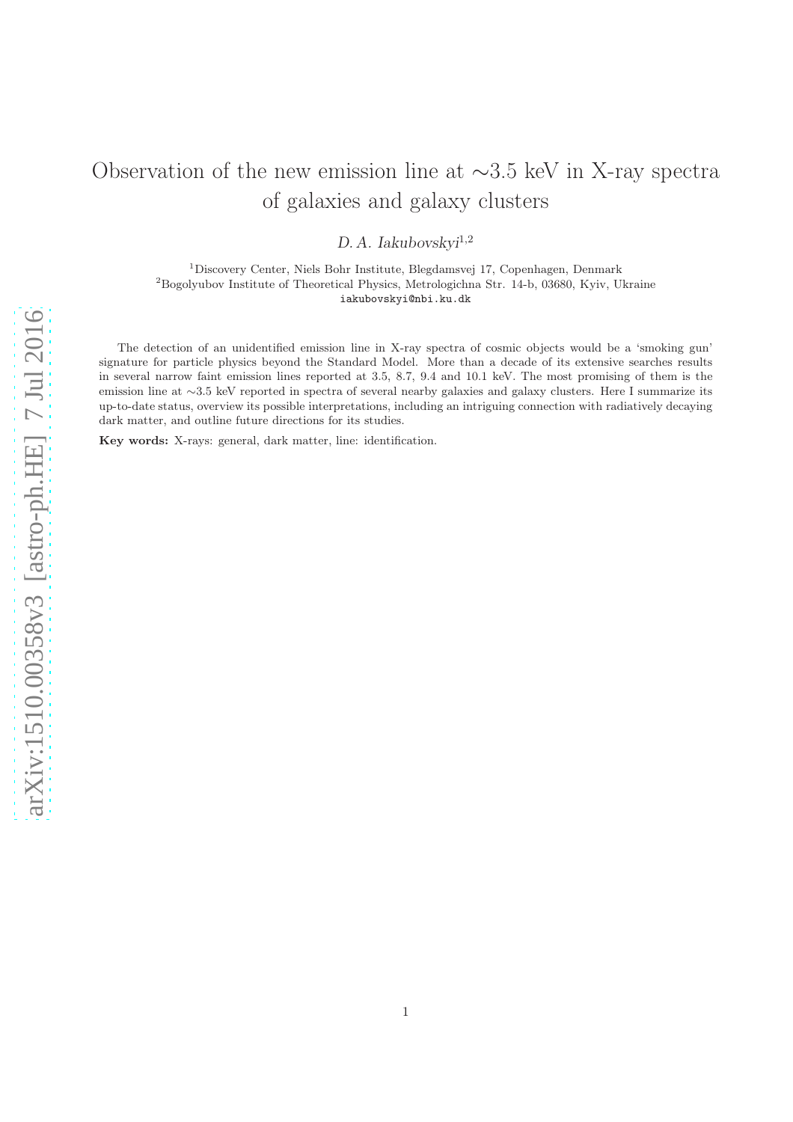# Observation of the new emission line at ∼3.5 keV in X-ray spectra of galaxies and galaxy clusters

D.A. Iakubovskyi<sup>1,2</sup>

<sup>1</sup>Discovery Center, Niels Bohr Institute, Blegdamsvej 17, Copenhagen, Denmark <sup>2</sup>Bogolyubov Institute of Theoretical Physics, Metrologichna Str. 14-b, 03680, Kyiv, Ukraine iakubovskyi@nbi.ku.dk

The detection of an unidentified emission line in X-ray spectra of cosmic objects would be a 'smoking gun' signature for particle physics beyond the Standard Model. More than a decade of its extensive searches results in several narrow faint emission lines reported at 3.5, 8.7, 9.4 and 10.1 keV. The most promising of them is the emission line at ∼3.5 keV reported in spectra of several nearby galaxies and galaxy clusters. Here I summarize its up-to-date status, overview its possible interpretations, including an intriguing connection with radiatively decaying dark matter, and outline future directions for its studies.

Key words: X-rays: general, dark matter, line: identification.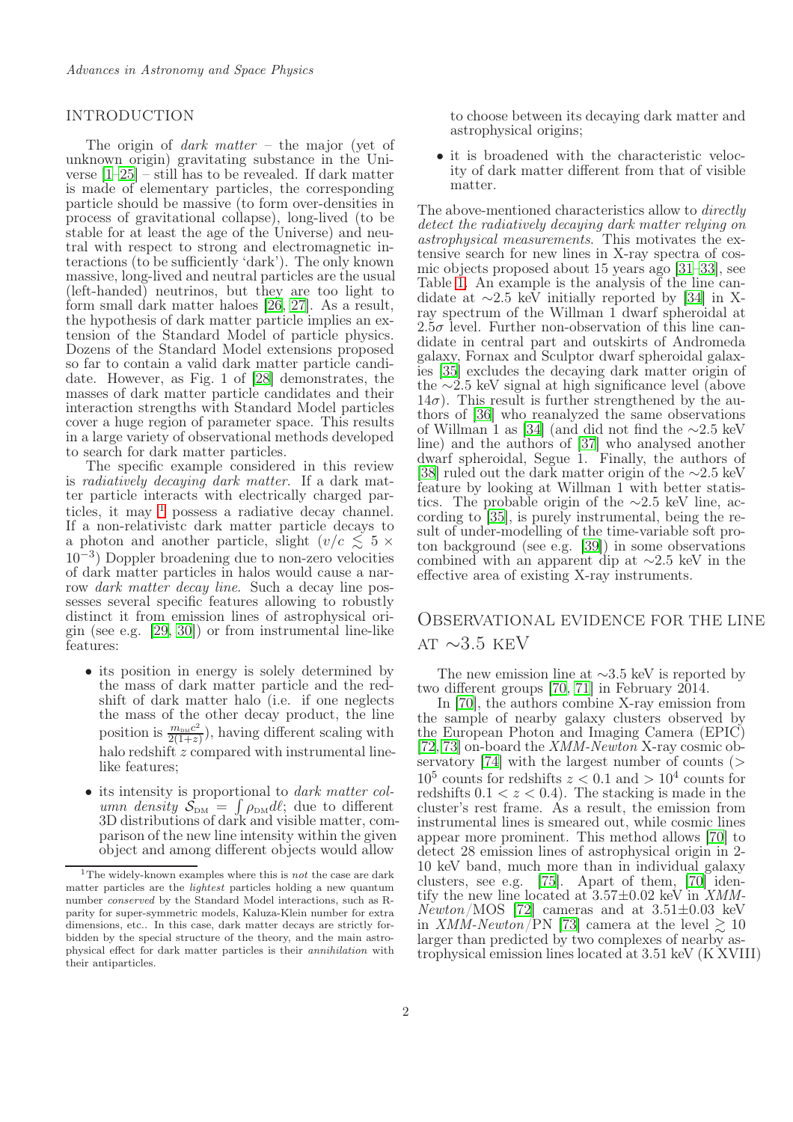### <span id="page-1-1"></span>**INTRODUCTION**

The origin of *dark matter* – the major (yet of unknown origin) gravitating substance in the Universe [\[1](#page-10-0)[–25\]](#page-10-1) – still has to be revealed. If dark matter is made of elementary particles, the corresponding particle should be massive (to form over-densities in process of gravitational collapse), long-lived (to be stable for at least the age of the Universe) and neutral with respect to strong and electromagnetic interactions (to be sufficiently 'dark'). The only known massive, long-lived and neutral particles are the usual (left-handed) neutrinos, but they are too light to form small dark matter haloes [\[26,](#page-10-2) [27](#page-10-3)]. As a result, the hypothesis of dark matter particle implies an extension of the Standard Model of particle physics. Dozens of the Standard Model extensions proposed so far to contain a valid dark matter particle candidate. However, as Fig. 1 of [\[28\]](#page-10-4) demonstrates, the masses of dark matter particle candidates and their interaction strengths with Standard Model particles cover a huge region of parameter space. This results in a large variety of observational methods developed to search for dark matter particles.

The specific example considered in this review is radiatively decaying dark matter. If a dark matter particle interacts with electrically charged particles, it may  $1$  possess a radiative decay channel. If a non-relativistc dark matter particle decays to a photon and another particle, slight  $(v/c \lesssim 5 \times$ 10−<sup>3</sup> ) Doppler broadening due to non-zero velocities of dark matter particles in halos would cause a narrow dark matter decay line. Such a decay line possesses several specific features allowing to robustly distinct it from emission lines of astrophysical origin (see e.g. [\[29](#page-10-5), [30](#page-10-6)]) or from instrumental line-like features:

- its position in energy is solely determined by the mass of dark matter particle and the redshift of dark matter halo (i.e. if one neglects the mass of the other decay product, the line position is  $\frac{m_{\text{DM}}c^2}{2(1+z)}$  $\frac{m_{\text{DM}}c^2}{2(1+z)}$ , having different scaling with halo redshift z compared with instrumental linelike features;
- its intensity is proportional to *dark matter col*umn density  $S_{DM} = \int \rho_{DM} dl$ ; due to different 3D distributions of dark and visible matter, comparison of the new line intensity within the given object and among different objects would allow

to choose between its decaying dark matter and astrophysical origins;

• it is broadened with the characteristic velocity of dark matter different from that of visible matter.

The above-mentioned characteristics allow to directly detect the radiatively decaying dark matter relying on astrophysical measurements. This motivates the extensive search for new lines in X-ray spectra of cosmic objects proposed about 15 years ago [\[31](#page-10-7)[–33](#page-11-0)], see Table [1.](#page-2-0) An example is the analysis of the line candidate at  $\sim$ 2.5 keV initially reported by [\[34](#page-11-1)] in Xray spectrum of the Willman 1 dwarf spheroidal at  $2.5\sigma$  level. Further non-observation of this line candidate in central part and outskirts of Andromeda galaxy, Fornax and Sculptor dwarf spheroidal galaxies [\[35](#page-11-2)] excludes the decaying dark matter origin of the ∼2.5 keV signal at high significance level (above  $14\sigma$ ). This result is further strengthened by the authors of [\[36](#page-11-3)] who reanalyzed the same observations of Willman 1 as [\[34\]](#page-11-1) (and did not find the ∼2.5 keV line) and the authors of [\[37\]](#page-11-4) who analysed another dwarf spheroidal, Segue 1. Finally, the authors of [\[38\]](#page-11-5) ruled out the dark matter origin of the ∼2.5 keV feature by looking at Willman 1 with better statistics. The probable origin of the ∼2.5 keV line, according to [\[35\]](#page-11-2), is purely instrumental, being the result of under-modelling of the time-variable soft proton background (see e.g. [\[39\]](#page-11-6)) in some observations combined with an apparent dip at ∼2.5 keV in the effective area of existing X-ray instruments.

### Observational evidence for the line AT  $\sim$ 3.5 KEV

The new emission line at ∼3.5 keV is reported by two different groups [\[70](#page-12-0), [71\]](#page-12-1) in February 2014.

In [\[70](#page-12-0)], the authors combine X-ray emission from the sample of nearby galaxy clusters observed by the European Photon and Imaging Camera (EPIC) [\[72,](#page-12-2) [73](#page-12-3)] on-board the XMM-Newton X-ray cosmic ob-servatory [\[74](#page-12-4)] with the largest number of counts  $($  $10^5$  counts for redshifts  $z < 0.1$  and  $> 10^4$  counts for redshifts  $0.1 < z < 0.4$ ). The stacking is made in the cluster's rest frame. As a result, the emission from instrumental lines is smeared out, while cosmic lines appear more prominent. This method allows [\[70](#page-12-0)] to detect 28 emission lines of astrophysical origin in 2- 10 keV band, much more than in individual galaxy clusters, see e.g. [\[75](#page-12-5)]. Apart of them, [\[70\]](#page-12-0) identify the new line located at  $3.57\pm0.02$  keV in XMM- $Newton/MOS$  [\[72\]](#page-12-2) cameras and at 3.51 $\pm$ 0.03 keV in XMM-Newton/PN [\[73\]](#page-12-3) camera at the level  $\gtrsim 10$ larger than predicted by two complexes of nearby astrophysical emission lines located at 3.51 keV (K XVIII)

<span id="page-1-0"></span><sup>&</sup>lt;sup>1</sup>The widely-known examples where this is *not* the case are dark matter particles are the lightest particles holding a new quantum number conserved by the Standard Model interactions, such as Rparity for super-symmetric models, Kaluza-Klein number for extra dimensions, etc.. In this case, dark matter decays are strictly forbidden by the special structure of the theory, and the main astrophysical effect for dark matter particles is their annihilation with their antiparticles.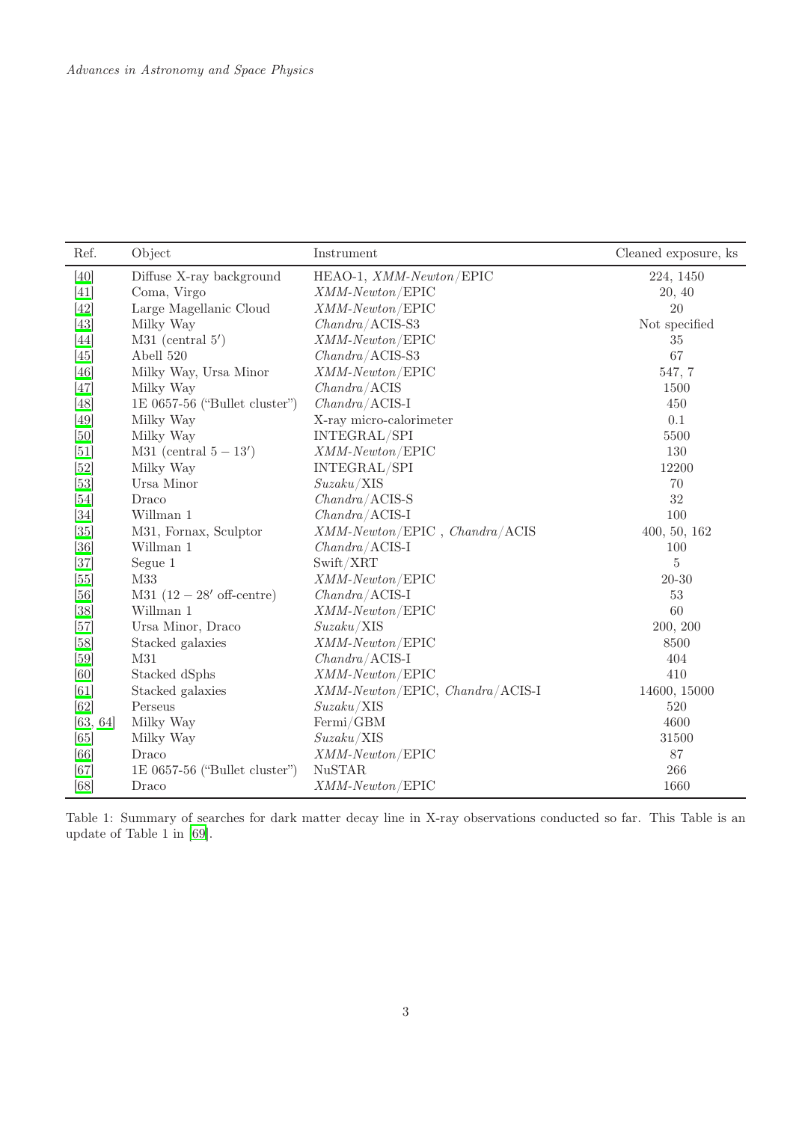| Ref.     | Object                           | Instrument                         | Cleaned exposure, ks |
|----------|----------------------------------|------------------------------------|----------------------|
| [40]     | Diffuse X-ray background         | HEAO-1, XMM-Newton/EPIC            | 224, 1450            |
| [41]     | Coma, Virgo                      | $XMM\text{-}Newton / EPIC$         | 20, 40               |
| $[42]$   | Large Magellanic Cloud           | $XMM\text{-}Newton / EPIC$         | 20                   |
| [43]     | Milky Way                        | $Chandra/ACIS-S3$                  | Not specified        |
| $[44]$   | $M31$ (central 5')               | XMM-Newton/EPIC                    | $35\,$               |
| [45]     | Abell 520                        | $Chandra/\,ACIS-S3$                | 67                   |
| [46]     | Milky Way, Ursa Minor            | $XMM\text{-}Newton / EPIC$         | 547, 7               |
| [47]     | Milky Way                        | $Chandra/\textrm{ACIS}$            | 1500                 |
| [48]     | $1E\ 0657-56$ ("Bullet cluster") | $Chandra/\text{ACIS-I}$            | 450                  |
| [49]     | Milky Way                        | X-ray micro-calorimeter            | 0.1                  |
| [50]     | Milky Way                        | INTEGRAL/SPI                       | 5500                 |
| [51]     | M31 (central $5-13'$ )           | $XMM\text{-}Newton / EPIC$         | 130                  |
| $[52]$   | Milky Way                        | INTEGRAL/SPI                       | 12200                |
| $[53]$   | Ursa Minor                       | Suzaku/XIS                         | 70                   |
| [54]     | Draco                            | $Chandra/\,ACIS-S$                 | 32                   |
| $[34]$   | Willman 1                        | $Chandra/\text{ACIS-I}$            | 100                  |
| [35]     | M31, Fornax, Sculptor            | $XMM-Newton/EPIC$ , $Chandra/ACIS$ | 400, 50, 162         |
| [36]     | Willman 1                        | $Chandra/\text{ACIS-I}$            | 100                  |
| $[37]$   | Segue 1                          | Swift/XRT                          | $\rm 5$              |
| [55]     | M33                              | $XMM\text{-}Newton / EPIC$         | $20 - 30$            |
| [56]     | $M31 (12 - 28'$ off-centre)      | $Chandra/\text{ACIS-I}$            | $53\,$               |
| [38]     | Willman 1                        | $XMM\text{-}Newton / EPIC$         | 60                   |
| [57]     | Ursa Minor, Draco                | Suzaku/XIS                         | 200, 200             |
| [58]     | Stacked galaxies                 | $XMM\text{-}Newton / EPIC$         | 8500                 |
| [59]     | M31                              | $Chandra/\text{ACIS-I}$            | 404                  |
| [60]     | Stacked dSphs                    | $XMM\text{-}Newton / EPIC$         | 410                  |
| [61]     | Stacked galaxies                 | XMM-Newton/EPIC, Chandra/ACIS-I    | 14600, 15000         |
| [62]     | Perseus                          | Suzaku/XIS                         | 520                  |
| [63, 64] | Milky Way                        | Fermi/GBM                          | 4600                 |
| [65]     | Milky Way                        | Suzaku/XIS                         | 31500                |
| [66]     | Draco                            | $XMM\text{-}Newton / EPIC$         | $87\,$               |
| [67]     | 1E 0657-56 ("Bullet cluster")    | <b>NuSTAR</b>                      | 266                  |
| [68]     | Draco                            | $XMM\text{-}Newton / EPIC$         | 1660                 |

<span id="page-2-0"></span>Table 1: Summary of searches for dark matter decay line in X-ray observations conducted so far. This Table is an update of Table 1 in [\[69](#page-12-15)].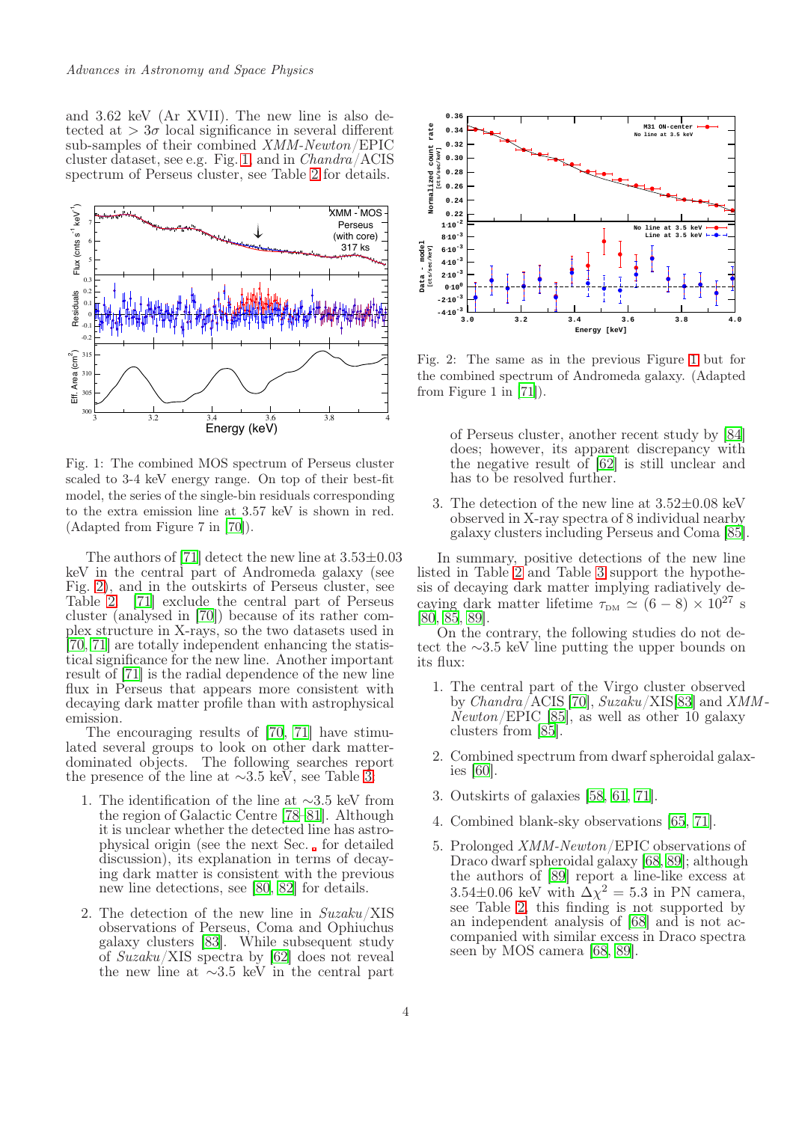and 3.62 keV (Ar XVII). The new line is also detected at  $> 3\sigma$  local significance in several different sub-samples of their combined XMM-Newton/EPIC cluster dataset, see e.g. Fig. [1,](#page-3-0) and in Chandra/ACIS spectrum of Perseus cluster, see Table [2](#page-4-0) for details.



<span id="page-3-0"></span>Fig. 1: The combined MOS spectrum of Perseus cluster scaled to 3-4 keV energy range. On top of their best-fit model, the series of the single-bin residuals corresponding to the extra emission line at 3.57 keV is shown in red. (Adapted from Figure 7 in [\[70](#page-12-0)]).

The authors of [\[71](#page-12-1)] detect the new line at  $3.53\pm0.03$ keV in the central part of Andromeda galaxy (see Fig. [2\)](#page-3-1), and in the outskirts of Perseus cluster, see Table [2.](#page-4-0) [\[71\]](#page-12-1) exclude the central part of Perseus cluster (analysed in [\[70](#page-12-0)]) because of its rather complex structure in X-rays, so the two datasets used in [\[70](#page-12-0), [71](#page-12-1)] are totally independent enhancing the statistical significance for the new line. Another important result of [\[71\]](#page-12-1) is the radial dependence of the new line flux in Perseus that appears more consistent with decaying dark matter profile than with astrophysical emission.

The encouraging results of [\[70,](#page-12-0) [71\]](#page-12-1) have stimulated several groups to look on other dark matterdominated objects. The following searches report the presence of the line at ∼3.5 keV, see Table [3:](#page-5-0)

- 1. The identification of the line at ∼3.5 keV from the region of Galactic Centre [\[78](#page-12-16)[–81](#page-12-17)]. Although it is unclear whether the detected line has astrophysical origin (see the next Sec. for detailed discussion), its explanation in terms of decaying dark matter is consistent with the previous new line detections, see [\[80,](#page-12-18) [82](#page-12-19)] for details.
- 2. The detection of the new line in Suzaku/XIS observations of Perseus, Coma and Ophiuchus galaxy clusters [\[83\]](#page-12-20). While subsequent study of Suzaku/XIS spectra by [\[62](#page-12-8)] does not reveal the new line at  $\sim$ 3.5 keV in the central part



<span id="page-3-1"></span>Fig. 2: The same as in the previous Figure [1](#page-3-0) but for the combined spectrum of Andromeda galaxy. (Adapted from Figure 1 in [\[71\]](#page-12-1)).

of Perseus cluster, another recent study by [\[84](#page-12-21)] does; however, its apparent discrepancy with the negative result of [\[62\]](#page-12-8) is still unclear and has to be resolved further.

3. The detection of the new line at 3.52±0.08 keV observed in X-ray spectra of 8 individual nearby galaxy clusters including Perseus and Coma [\[85\]](#page-12-22).

In summary, positive detections of the new line listed in Table [2](#page-4-0) and Table [3](#page-5-0) support the hypothesis of decaying dark matter implying radiatively decaying dark matter lifetime  $\tau_{DM} \simeq (6-8) \times 10^{27}$  s [\[80,](#page-12-18) [85](#page-12-22), [89\]](#page-13-0).

On the contrary, the following studies do not detect the ∼3.5 keV line putting the upper bounds on its flux:

- 1. The central part of the Virgo cluster observed by Chandra/ACIS [\[70\]](#page-12-0), Suzaku/XIS[\[83](#page-12-20)] and XMM -  $Newton / EPIC$  [\[85](#page-12-22)], as well as other 10 galaxy clusters from [\[85\]](#page-12-22).
- 2. Combined spectrum from dwarf spheroidal galaxies [\[60](#page-12-6)].
- 3. Outskirts of galaxies [\[58,](#page-11-25) [61](#page-12-7), [71\]](#page-12-1).
- 4. Combined blank-sky observations [\[65](#page-12-11), [71\]](#page-12-1).
- 5. Prolonged XMM-Newton/EPIC observations of Draco dwarf spheroidal galaxy [\[68](#page-12-14), [89](#page-13-0)]; although the authors of [\[89](#page-13-0)] report a line-like excess at  $3.54\pm0.06$  keV with  $\Delta\chi^2 = 5.3$  in PN camera, see Table [2,](#page-4-0) this finding is not supported by an independent analysis of [\[68\]](#page-12-14) and is not accompanied with similar excess in Draco spectra seen by MOS camera [\[68,](#page-12-14) [89](#page-13-0)].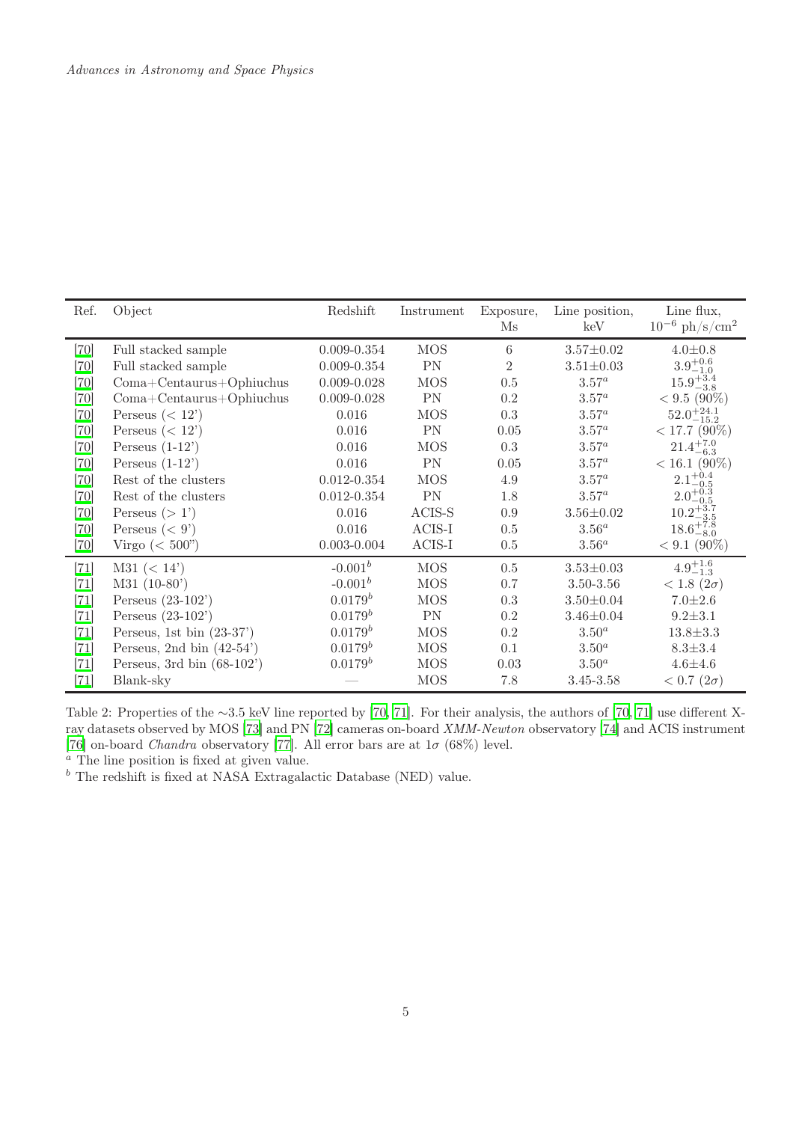| Ref.   | Object                         | Redshift        | Instrument    | Exposure,<br>$\rm Ms$ | Line position,<br>keV | Line flux,<br>$10^{-6}$ ph/s/cm <sup>2</sup> |
|--------|--------------------------------|-----------------|---------------|-----------------------|-----------------------|----------------------------------------------|
| $[70]$ | Full stacked sample            | $0.009 - 0.354$ | <b>MOS</b>    | 6                     | $3.57 \pm 0.02$       | $4.0 \pm 0.8$                                |
| $[70]$ | Full stacked sample            | $0.009 - 0.354$ | PN            | $\overline{2}$        | $3.51 \pm 0.03$       | $3.9^{+0.6}_{-1.0}$                          |
| $[70]$ | $Coma + Centaurus + Ophiuchus$ | $0.009 - 0.028$ | <b>MOS</b>    | 0.5                   | $3.57^a$              | $15.9_{-3.8}^{+3.4}$                         |
| $[70]$ | $Coma + Centaurus + Ophi$      | $0.009 - 0.028$ | PN            | $0.2\,$               | $3.57^a$              | $< 9.5 (90\%)$                               |
| $[70]$ | Perseus $(< 12$ <sup>'</sup> ) | 0.016           | <b>MOS</b>    | 0.3                   | $3.57^a$              | $52.0^{+24.1}_{-15.2}$                       |
| $[70]$ | Perseus $(< 12$ <sup>'</sup> ) | 0.016           | $\mathbf{PN}$ | 0.05                  | $3.57^a$              | $< 17.7$ (90%)                               |
| $[70]$ | Perseus $(1-12)$               | 0.016           | <b>MOS</b>    | 0.3                   | $3.57^a$              | $21.4^{+7.0}_{-6.3}$                         |
| $[70]$ | Perseus $(1-12)$               | 0.016           | $\mathbf{PN}$ | 0.05                  | $3.57^a$              | $< 16.1 (90\%)$                              |
| $[70]$ | Rest of the clusters           | $0.012 - 0.354$ | <b>MOS</b>    | 4.9                   | $3.57^a$              | $2.1^{+0.4}_{-0.5}$                          |
| $[70]$ | Rest of the clusters           | $0.012 - 0.354$ | $\mathbf{PN}$ | 1.8                   | $3.57^a$              | $2.0^{+0.3}_{-0.5}$                          |
| $[70]$ | Perseus $(>1)$                 | 0.016           | $ACIS-S$      | 0.9                   | $3.56 \pm 0.02$       | $10.2^{+3.7}_{-3.5}$                         |
| $[70]$ | Perseus $(< 9')$               | 0.016           | $ACIS-I$      | $0.5\,$               | $3.56^a$              | $18.6^{+7.8}_{-8.0}$                         |
| $[70]$ | Virgo $(<500$ ")               | $0.003 - 0.004$ | $ACIS-I$      | $0.5\,$               | $3.56^a$              | $< 9.1 (90\%)$                               |
| $[71]$ | M31 (< 14' )                   | $-0.001^b$      | <b>MOS</b>    | 0.5                   | $3.53 \pm 0.03$       | $4.9^{+1.6}_{-1.3}$                          |
| $[71]$ | $M31 (10-80)$                  | $-0.001^b$      | <b>MOS</b>    | 0.7                   | 3.50-3.56             | $< 1.8 (2\sigma)$                            |
| $[71]$ | Perseus $(23-102)$             | $0.0179^b$      | <b>MOS</b>    | 0.3                   | $3.50 \pm 0.04$       | $7.0 + 2.6$                                  |
| $[71]$ | Perseus $(23-102)$             | $0.0179^b$      | PN            | $0.2\,$               | $3.46 \pm 0.04$       | $9.2 \pm 3.1$                                |
| $[71]$ | Perseus, 1st bin $(23-37)$     | $0.0179^b$      | <b>MOS</b>    | $0.2\,$               | $3.50^a$              | $13.8 \pm 3.3$                               |
| $[71]$ | Perseus, 2nd bin $(42-54)$     | $0.0179^b$      | <b>MOS</b>    | 0.1                   | $3.50^a$              | $8.3 \pm 3.4$                                |
| $[71]$ | Perseus, 3rd bin $(68-102)$    | $0.0179^b$      | <b>MOS</b>    | 0.03                  | 3.50 <sup>a</sup>     | $4.6 + 4.6$                                  |
| $[71]$ | Blank-sky                      |                 | <b>MOS</b>    | 7.8                   | $3.45 - 3.58$         | $< 0.7 (2\sigma)$                            |

<span id="page-4-0"></span>Table 2: Properties of the ∼3.5 keV line reported by [\[70,](#page-12-0) [71\]](#page-12-1). For their analysis, the authors of [70, 71] use different X-ray datasets observed by MOS [\[73\]](#page-12-3) and PN [\[72\]](#page-12-2) cameras on-board XMM-Newton observatory [\[74](#page-12-4)] and ACIS instrument [\[76](#page-12-23)] on-board *Chandra* observatory [\[77\]](#page-12-24). All error bars are at  $1\sigma$  (68%) level.

<sup>a</sup> The line position is fixed at given value.

 $<sup>b</sup>$  The redshift is fixed at NASA Extragalactic Database (NED) value.</sup>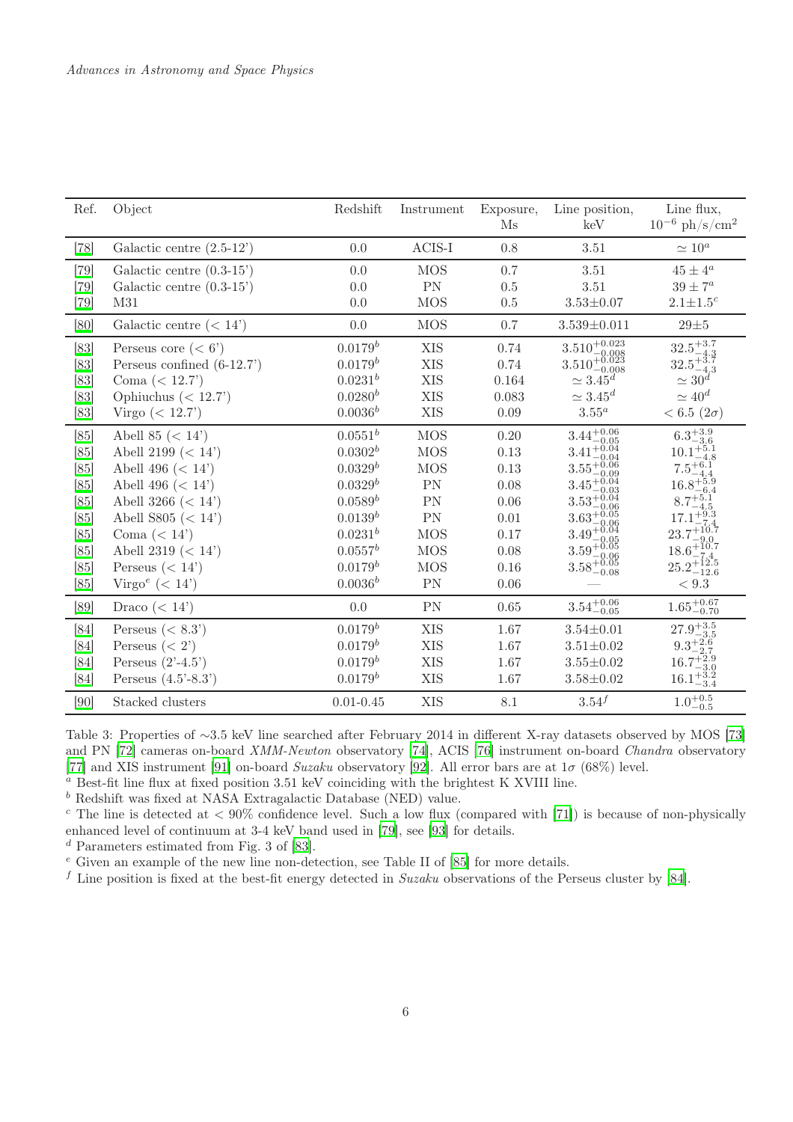| Ref.   | Object                                | Redshift      | Instrument | Exposure,<br>$\mathbf{M}\mathbf{s}$ | Line position,<br>keV                                                                                                                         | Line flux,<br>$10^{-6}$ $\mathrm{ph}/\mathrm{s}/\mathrm{cm}^2$ |
|--------|---------------------------------------|---------------|------------|-------------------------------------|-----------------------------------------------------------------------------------------------------------------------------------------------|----------------------------------------------------------------|
| $[78]$ | Galactic centre $(2.5-12)$            | 0.0           | $ACIS-I$   | 0.8                                 | 3.51                                                                                                                                          | $\simeq 10^a$                                                  |
| $[79]$ | Galactic centre $(0.3-15)$            | 0.0           | <b>MOS</b> | 0.7                                 | 3.51                                                                                                                                          | $45\pm4^a$                                                     |
| $[79]$ | Galactic centre $(0.3-15)$            | 0.0           | PN         | 0.5                                 | 3.51                                                                                                                                          | $39\pm7^a$                                                     |
| $[79]$ | M31                                   | 0.0           | <b>MOS</b> | 0.5                                 | $3.53 \pm 0.07$                                                                                                                               | $2.1 + 1.5^{c}$                                                |
| [80]   | Galactic centre $(< 14'$ )            | 0.0           | <b>MOS</b> | 0.7                                 | $3.539 \pm 0.011$                                                                                                                             | $29\pm5$                                                       |
| [83]   | Perseus core $(< 6')$                 | $0.0179^b$    | <b>XIS</b> | 0.74                                | $\substack{3.510^{+0.023}_{-0.008} \\ 3.510^{+0.023}_{-0.008}}$                                                                               | $32.5^{+3.7}_{-4.3}$                                           |
| [83]   | Perseus confined $(6-12.7)$           | $0.0179^b$    | <b>XIS</b> | 0.74                                |                                                                                                                                               | $32.5^{+3.7}_{-4.3}$                                           |
| [83]   | Coma $(< 12.7$ )                      | $0.0231^{b}$  | <b>XIS</b> | 0.164                               | $\simeq 3.45^d$                                                                                                                               | $\simeq 30^d$                                                  |
| [83]   | Ophiuchus $(< 12.7$                   | $0.0280^{b}$  | <b>XIS</b> | 0.083                               | $\simeq 3.45^d$                                                                                                                               | $\simeq 40^d$                                                  |
| [83]   | Virgo $(< 12.7$ <sup>'</sup> )        | $0.0036^b$    | <b>XIS</b> | 0.09                                | $3.55^a$                                                                                                                                      | $< 6.5 (2\sigma)$                                              |
| [85]   | Abell 85 $(< 14' )$                   | $0.0551^{b}$  | <b>MOS</b> | 0.20                                | $\substack{3.44^{+0.06}_{-0.05}\phantom{}\\ \,3.41^{+0.04}_{-0.04}\phantom{,}}\phantom{0000}}{3.41^{+0.04}_{-0.04}\phantom{,}}\phantom{0000}$ | $6.3_{-3.6}^{+3.9}$                                            |
| [85]   | Abell 2199 $(< 14'$ )                 | $0.0302^{b}$  | MOS        | $0.13\,$                            |                                                                                                                                               | $10.1_{-4.8}^{+5.1}$                                           |
| [85]   | Abell 496 ( $< 14'$ )                 | $0.0329^b$    | <b>MOS</b> | 0.13                                |                                                                                                                                               | $7.5^{+6.1}_{-4.4}$                                            |
| [85]   | Abell 496 ( $< 14'$ )                 | $0.0329^b$    | PN         | 0.08                                | $3.45_{-0.03}^{+0.04}$                                                                                                                        | $16.8^{+5.9}_{-6.4}$                                           |
| [85]   | Abell 3266 ( $< 14'$ )                | $0.0589^{b}$  | PN         | 0.06                                | $3.53_{-0.06}^{+0.04}$                                                                                                                        | $8.7^{+5.1}_{-4.5}$                                            |
| [85]   | Abell S805 $(< 14'$ )                 | $0.0139^b$    | ${\rm PN}$ | 0.01                                | $3.63_{-0.06}^{+0.05}$                                                                                                                        | $17.1^{+9.3}_{-7.4}$                                           |
| [85]   | Coma $(< 14'$ )                       | $0.0231^{b}$  | <b>MOS</b> | 0.17                                |                                                                                                                                               |                                                                |
| [85]   | Abell 2319 ( $< 14'$ )                | $0.0557^b$    | <b>MOS</b> | 0.08                                | $\begin{array}{r} 3.49^{+0.04}_{-0.05} \\ 3.49^{+0.04}_{-0.05} \\ 3.59^{+0.05}_{-0.06} \\ 3.58^{+0.05}_{-0.08} \end{array}$                   | $23.7^{+10.7}_{-9.0}$<br>18.6 <sup>+10.7</sup>                 |
| [85]   | Perseus $(< 14$ <sup>'</sup> )        | $0.0179^b$    | <b>MOS</b> | 0.16                                |                                                                                                                                               | $25.2\overline{+}\,12.5\overline{}}$                           |
| [85]   | Virgo <sup>e</sup> $(< 14')$          | $0.0036^{b}$  | PN         | 0.06                                |                                                                                                                                               | $<9.3\,$                                                       |
| [89]   | Draco $(< 14')$                       | 0.0           | PN         | 0.65                                | $3.54^{+0.06}_{-0.05}$                                                                                                                        | $1.65^{+0.67}_{-0.70}$                                         |
| [84]   | Perseus $(< 8.3^{\circ})$             | $0.0179^b$    | <b>XIS</b> | 1.67                                | $3.54 \pm 0.01$                                                                                                                               | $27.9^{+3.5}_{-3.5}$                                           |
| [84]   | Perseus $(< 2')$                      | $0.0179^{b}$  | <b>XIS</b> | $1.67\,$                            | $3.51 \pm 0.02$                                                                                                                               | $9.3_{-2.7}^{+2.6}$                                            |
| [84]   | Perseus $(2^{\prime} - 4.5^{\prime})$ | $0.0179^b$    | <b>XIS</b> | 1.67                                | $3.55 \pm 0.02$                                                                                                                               | $16.7^{+2.9}_{-3.0}$                                           |
| [84]   | Perseus $(4.5^{\circ} - 8.3^{\circ})$ | $0.0179^b$    | <b>XIS</b> | 1.67                                | $3.58 \pm 0.02$                                                                                                                               | $16.1^{+3.2}_{-3.4}$                                           |
| [90]   | Stacked clusters                      | $0.01 - 0.45$ | <b>XIS</b> | 8.1                                 | $3.54^{f}$                                                                                                                                    | $1.0^{+0.5}_{-0.5}$                                            |

<span id="page-5-0"></span>Table 3: Properties of ∼3.5 keV line searched after February 2014 in different X-ray datasets observed by MOS [\[73\]](#page-12-3) and PN [\[72\]](#page-12-2) cameras on-board XMM-Newton observatory [\[74](#page-12-4)], ACIS [\[76](#page-12-23)] instrument on-board Chandra observatory [\[77](#page-12-24)] and XIS instrument [\[91\]](#page-13-2) on-board Suzaku observatory [\[92\]](#page-13-3). All error bars are at  $1\sigma$  (68%) level.

<sup>a</sup> Best-fit line flux at fixed position 3.51 keV coinciding with the brightest K XVIII line.

 $b$  Redshift was fixed at NASA Extragalactic Database (NED) value.

<sup>c</sup> The line is detected at  $< 90\%$  confidence level. Such a low flux (compared with [\[71\]](#page-12-1)) is because of non-physically enhanced level of continuum at 3-4 keV band used in [\[79\]](#page-12-25), see [\[93](#page-13-4)] for details.

 $d$  Parameters estimated from Fig. 3 of [\[83\]](#page-12-20).

<sup>e</sup> Given an example of the new line non-detection, see Table II of [\[85](#page-12-22)] for more details.

f Line position is fixed at the best-fit energy detected in Suzaku observations of the Perseus cluster by [\[84\]](#page-12-21).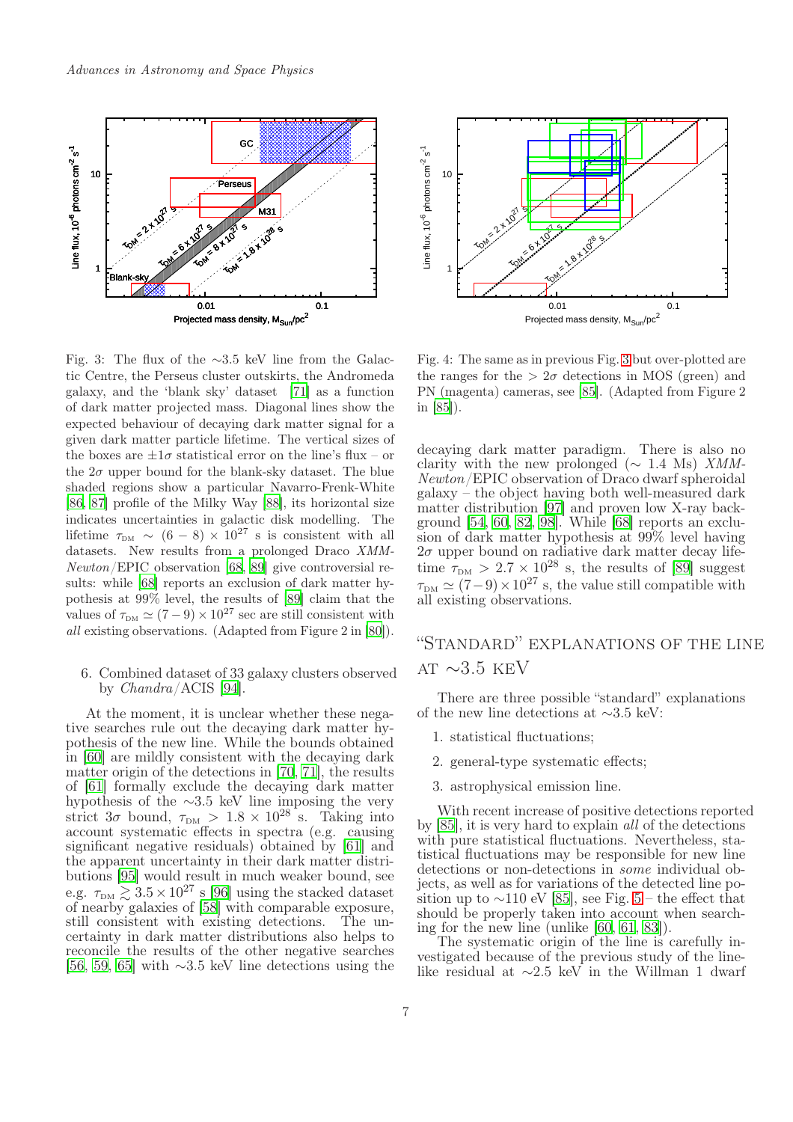

<span id="page-6-1"></span>Fig. 3: The flux of the ∼3.5 keV line from the Galactic Centre, the Perseus cluster outskirts, the Andromeda galaxy, and the 'blank sky' dataset [\[71\]](#page-12-1) as a function of dark matter projected mass. Diagonal lines show the expected behaviour of decaying dark matter signal for a given dark matter particle lifetime. The vertical sizes of the boxes are  $\pm 1\sigma$  statistical error on the line's flux – or the  $2\sigma$  upper bound for the blank-sky dataset. The blue shaded regions show a particular Navarro-Frenk-White [\[86](#page-13-5), [87\]](#page-13-6) profile of the Milky Way [\[88\]](#page-13-7), its horizontal size indicates uncertainties in galactic disk modelling. The lifetime  $\tau_{DM} \sim (6-8) \times 10^{27}$  s is consistent with all datasets. New results from a prolonged Draco XMM-Newton/EPIC observation [\[68,](#page-12-14) [89](#page-13-0)] give controversial results: while [\[68](#page-12-14)] reports an exclusion of dark matter hypothesis at 99% level, the results of [\[89\]](#page-13-0) claim that the values of  $\tau_{DM} \simeq (7 - 9) \times 10^{27}$  sec are still consistent with all existing observations. (Adapted from Figure 2 in [\[80\]](#page-12-18)).

### 6. Combined dataset of 33 galaxy clusters observed by Chandra/ACIS [\[94\]](#page-13-8).

At the moment, it is unclear whether these negative searches rule out the decaying dark matter hypothesis of the new line. While the bounds obtained in [\[60](#page-12-6)] are mildly consistent with the decaying dark matter origin of the detections in [\[70,](#page-12-0) [71\]](#page-12-1), the results of [\[61](#page-12-7)] formally exclude the decaying dark matter hypothesis of the ∼3.5 keV line imposing the very strict  $3\sigma$  bound,  $\tau_{DM} > 1.8 \times 10^{28}$  s. Taking into account systematic effects in spectra (e.g. causing significant negative residuals) obtained by [\[61\]](#page-12-7) and the apparent uncertainty in their dark matter distributions [\[95\]](#page-13-9) would result in much weaker bound, see e.g.  $\tau_{DM} \gtrsim 3.5 \times 10^{27}$  s [\[96](#page-13-10)] using the stacked dataset of nearby galaxies of [\[58\]](#page-11-25) with comparable exposure, still consistent with existing detections. The uncertainty in dark matter distributions also helps to reconcile the results of the other negative searches [\[56](#page-11-23), [59](#page-11-26), [65\]](#page-12-11) with ∼3.5 keV line detections using the



Fig. 4: The same as in previous Fig. [3](#page-6-1) but over-plotted are the ranges for the  $> 2\sigma$  detections in MOS (green) and PN (magenta) cameras, see [\[85\]](#page-12-22). (Adapted from Figure 2 in [\[85](#page-12-22)]).

decaying dark matter paradigm. There is also no clarity with the new prolonged ( $\sim$  1.4 Ms) XMM-Newton/EPIC observation of Draco dwarf spheroidal galaxy – the object having both well-measured dark matter distribution [\[97](#page-13-11)] and proven low X-ray background [\[54,](#page-11-21) [60](#page-12-6), [82,](#page-12-19) [98](#page-13-12)]. While [\[68\]](#page-12-14) reports an exclusion of dark matter hypothesis at 99% level having  $2\sigma$  upper bound on radiative dark matter decay lifetime  $\tau_{DM} > 2.7 \times 10^{28}$  s, the results of [\[89\]](#page-13-0) suggest  $\tau_{DM} \simeq (7-9) \times 10^{27}$  s, the value still compatible with all existing observations.

## <span id="page-6-0"></span>"Standard" explanations of the line AT  $\sim$ 3.5 KEV

There are three possible "standard" explanations of the new line detections at ∼3.5 keV:

- 1. statistical fluctuations;
- 2. general-type systematic effects;
- 3. astrophysical emission line.

With recent increase of positive detections reported by [\[85](#page-12-22)], it is very hard to explain all of the detections with pure statistical fluctuations. Nevertheless, statistical fluctuations may be responsible for new line detections or non-detections in some individual objects, as well as for variations of the detected line position up to  $\sim$ 110 eV [\[85](#page-12-22)], see Fig. [5](#page-7-0) – the effect that should be properly taken into account when searching for the new line (unlike [\[60](#page-12-6), [61,](#page-12-7) [83](#page-12-20)]).

The systematic origin of the line is carefully investigated because of the previous study of the linelike residual at ∼2.5 keV in the Willman 1 dwarf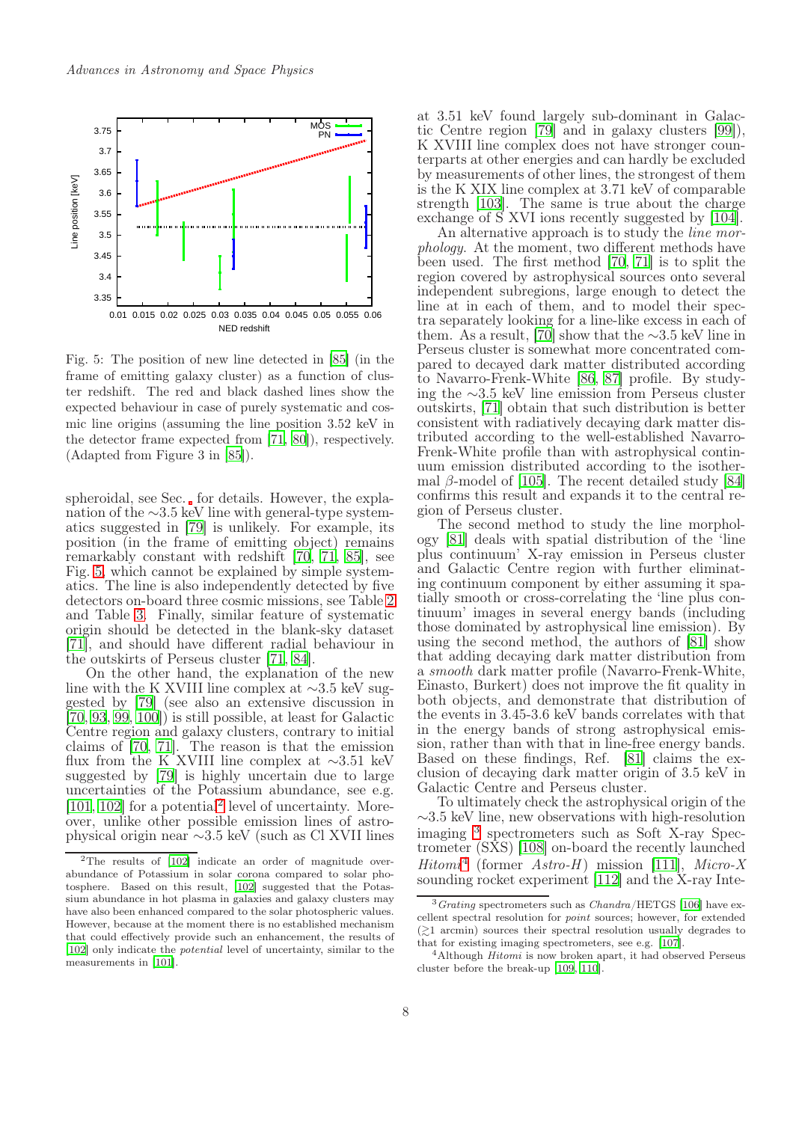

<span id="page-7-0"></span>Fig. 5: The position of new line detected in [\[85\]](#page-12-22) (in the frame of emitting galaxy cluster) as a function of cluster redshift. The red and black dashed lines show the expected behaviour in case of purely systematic and cosmic line origins (assuming the line position 3.52 keV in the detector frame expected from [\[71](#page-12-1), [80\]](#page-12-18)), respectively. (Adapted from Figure 3 in [\[85](#page-12-22)]).

spheroidal, see Sec. for details. However, the explanation of the ∼3.5 keV line with general-type systematics suggested in [\[79](#page-12-25)] is unlikely. For example, its position (in the frame of emitting object) remains remarkably constant with redshift [\[70](#page-12-0), [71,](#page-12-1) [85\]](#page-12-22), see Fig. [5,](#page-7-0) which cannot be explained by simple systematics. The line is also independently detected by five detectors on-board three cosmic missions, see Table [2](#page-4-0) and Table [3.](#page-5-0) Finally, similar feature of systematic origin should be detected in the blank-sky dataset [\[71](#page-12-1)], and should have different radial behaviour in the outskirts of Perseus cluster [\[71](#page-12-1), [84\]](#page-12-21).

On the other hand, the explanation of the new line with the K XVIII line complex at ∼3.5 keV suggested by [\[79\]](#page-12-25) (see also an extensive discussion in [\[70](#page-12-0), [93](#page-13-4), [99,](#page-13-13) [100](#page-13-14)]) is still possible, at least for Galactic Centre region and galaxy clusters, contrary to initial claims of [\[70](#page-12-0), [71\]](#page-12-1). The reason is that the emission flux from the K XVIII line complex at ∼3.51 keV suggested by [\[79](#page-12-25)] is highly uncertain due to large uncertainties of the Potassium abundance, see e.g. [\[101,](#page-13-15) [102\]](#page-13-16) for a potential<sup>[2](#page-7-1)</sup> level of uncertainty. Moreover, unlike other possible emission lines of astrophysical origin near ∼3.5 keV (such as Cl XVII lines

at 3.51 keV found largely sub-dominant in Galactic Centre region [\[79](#page-12-25)] and in galaxy clusters [\[99](#page-13-13)]), K XVIII line complex does not have stronger counterparts at other energies and can hardly be excluded by measurements of other lines, the strongest of them is the K XIX line complex at 3.71 keV of comparable strength [\[103](#page-13-17)]. The same is true about the charge exchange of S XVI ions recently suggested by [\[104\]](#page-13-18).

An alternative approach is to study the *line mor*phology. At the moment, two different methods have been used. The first method [\[70](#page-12-0), [71](#page-12-1)] is to split the region covered by astrophysical sources onto several independent subregions, large enough to detect the line at in each of them, and to model their spectra separately looking for a line-like excess in each of them. As a result, [\[70](#page-12-0)] show that the  $\sim$ 3.5 keV line in Perseus cluster is somewhat more concentrated compared to decayed dark matter distributed according to Navarro-Frenk-White [\[86](#page-13-5), [87\]](#page-13-6) profile. By studying the ∼3.5 keV line emission from Perseus cluster outskirts, [\[71\]](#page-12-1) obtain that such distribution is better consistent with radiatively decaying dark matter distributed according to the well-established Navarro-Frenk-White profile than with astrophysical continuum emission distributed according to the isothermal  $\beta$ -model of [\[105\]](#page-13-19). The recent detailed study [\[84](#page-12-21)] confirms this result and expands it to the central region of Perseus cluster.

The second method to study the line morphology [\[81](#page-12-17)] deals with spatial distribution of the 'line plus continuum' X-ray emission in Perseus cluster and Galactic Centre region with further eliminating continuum component by either assuming it spatially smooth or cross-correlating the 'line plus continuum' images in several energy bands (including those dominated by astrophysical line emission). By using the second method, the authors of [\[81\]](#page-12-17) show that adding decaying dark matter distribution from a smooth dark matter profile (Navarro-Frenk-White, Einasto, Burkert) does not improve the fit quality in both objects, and demonstrate that distribution of the events in 3.45-3.6 keV bands correlates with that in the energy bands of strong astrophysical emission, rather than with that in line-free energy bands. Based on these findings, Ref. [\[81\]](#page-12-17) claims the exclusion of decaying dark matter origin of 3.5 keV in Galactic Centre and Perseus cluster.

To ultimately check the astrophysical origin of the ∼3.5 keV line, new observations with high-resolution imaging [3](#page-7-2) spectrometers such as Soft X-ray Spectrometer (SXS) [\[108\]](#page-13-20) on-board the recently launched  $Hitomi<sup>4</sup>$  $Hitomi<sup>4</sup>$  $Hitomi<sup>4</sup>$  (former Astro-H) mission [\[111\]](#page-13-21), Micro-X sounding rocket experiment [\[112](#page-13-22)] and the X-ray Inte-

<span id="page-7-1"></span><sup>2</sup>The results of [\[102\]](#page-13-16) indicate an order of magnitude overabundance of Potassium in solar corona compared to solar photosphere. Based on this result, [\[102\]](#page-13-16) suggested that the Potassium abundance in hot plasma in galaxies and galaxy clusters may have also been enhanced compared to the solar photospheric values. However, because at the moment there is no established mechanism that could effectively provide such an enhancement, the results of [\[102](#page-13-16)] only indicate the *potential* level of uncertainty, similar to the measurements in [\[101](#page-13-15)].

<span id="page-7-2"></span> $3$  Grating spectrometers such as Chandra/HETGS [\[106\]](#page-13-23) have excellent spectral resolution for point sources; however, for extended  $(\gtrsim)1$  arcmin) sources their spectral resolution usually degrades to that for existing imaging spectrometers, see e.g. [\[107](#page-13-24)].

<span id="page-7-3"></span> $4$ Although  $Hitomi$  is now broken apart, it had observed Perseus cluster before the break-up [\[109,](#page-13-25) [110\]](#page-13-26).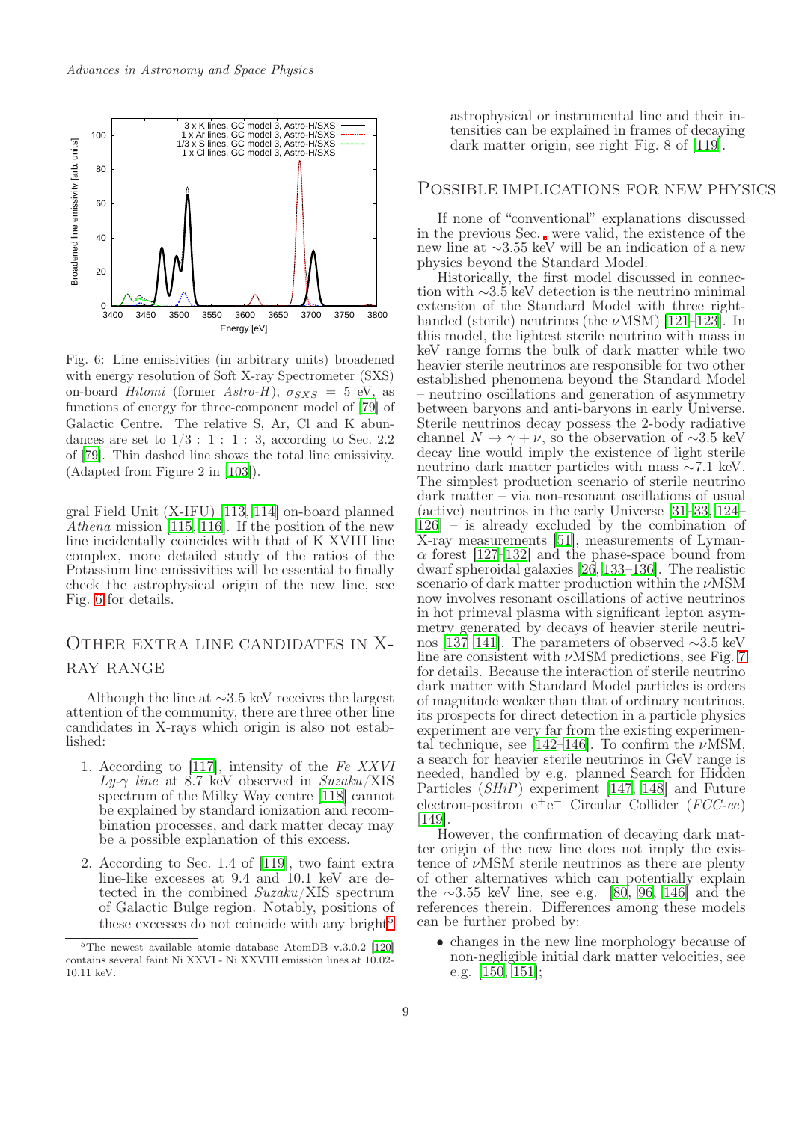

<span id="page-8-0"></span>Fig. 6: Line emissivities (in arbitrary units) broadened with energy resolution of Soft X-ray Spectrometer (SXS) on-board Hitomi (former Astro-H),  $\sigma_{SXS} = 5$  eV, as functions of energy for three-component model of [\[79\]](#page-12-25) of Galactic Centre. The relative S, Ar, Cl and K abundances are set to  $1/3$ : 1: 1: 3, according to Sec. 2.2 of [\[79\]](#page-12-25). Thin dashed line shows the total line emissivity. (Adapted from Figure 2 in [\[103](#page-13-17)]).

gral Field Unit (X-IFU) [\[113](#page-13-27), [114\]](#page-14-0) on-board planned Athena mission [\[115](#page-14-1), [116\]](#page-14-2). If the position of the new line incidentally coincides with that of K XVIII line complex, more detailed study of the ratios of the Potassium line emissivities will be essential to finally check the astrophysical origin of the new line, see Fig. [6](#page-8-0) for details.

### Other extra line candidates in Xray range

Although the line at ∼3.5 keV receives the largest attention of the community, there are three other line candidates in X-rays which origin is also not established:

- 1. According to [\[117\]](#page-14-3), intensity of the Fe XXVI  $Ly-\gamma$  line at 8.7 keV observed in Suzaku/XIS spectrum of the Milky Way centre [\[118\]](#page-14-4) cannot be explained by standard ionization and recombination processes, and dark matter decay may be a possible explanation of this excess.
- 2. According to Sec. 1.4 of [\[119\]](#page-14-5), two faint extra line-like excesses at 9.4 and 10.1 keV are detected in the combined Suzaku/XIS spectrum of Galactic Bulge region. Notably, positions of these excesses do not coincide with any bright<sup>[5](#page-8-1)</sup>

astrophysical or instrumental line and their intensities can be explained in frames of decaying dark matter origin, see right Fig. 8 of [\[119\]](#page-14-5).

### Possible implications for new physics

If none of "conventional" explanations discussed in the previous Sec. were valid, the existence of the new line at ∼3.55 keV will be an indication of a new physics beyond the Standard Model.

Historically, the first model discussed in connection with ∼3.5 keV detection is the neutrino minimal extension of the Standard Model with three righthanded (sterile) neutrinos (the  $\nu$ MSM) [\[121](#page-14-7)[–123](#page-14-8)]. In this model, the lightest sterile neutrino with mass in keV range forms the bulk of dark matter while two heavier sterile neutrinos are responsible for two other established phenomena beyond the Standard Model – neutrino oscillations and generation of asymmetry between baryons and anti-baryons in early Universe. Sterile neutrinos decay possess the 2-body radiative channel  $N \to \gamma + \nu$ , so the observation of ~3.5 keV decay line would imply the existence of light sterile neutrino dark matter particles with mass ∼7.1 keV. The simplest production scenario of sterile neutrino dark matter – via non-resonant oscillations of usual (active) neutrinos in the early Universe [\[31](#page-10-7)[–33](#page-11-0), [124](#page-14-9)– [126](#page-14-10)] – is already excluded by the combination of X-ray measurements [\[51\]](#page-11-18), measurements of Lyman- $\alpha$  forest [\[127](#page-14-11)[–132\]](#page-14-12) and the phase-space bound from dwarf spheroidal galaxies [\[26,](#page-10-2) [133](#page-14-13)[–136\]](#page-14-14). The realistic scenario of dark matter production within the  $\nu$ MSM now involves resonant oscillations of active neutrinos in hot primeval plasma with significant lepton asymmetry generated by decays of heavier sterile neutrinos [\[137](#page-14-15)[–141\]](#page-15-0). The parameters of observed ∼3.5 keV line are consistent with  $\nu$ MSM predictions, see Fig. [7](#page-9-0) for details. Because the interaction of sterile neutrino dark matter with Standard Model particles is orders of magnitude weaker than that of ordinary neutrinos, its prospects for direct detection in a particle physics experiment are very far from the existing experimen-tal technique, see [\[142](#page-15-1)[–146\]](#page-15-2). To confirm the  $\nu$ MSM, a search for heavier sterile neutrinos in GeV range is needed, handled by e.g. planned Search for Hidden Particles (SHiP) experiment [\[147](#page-15-3), [148](#page-15-4)] and Future electron-positron e<sup>+</sup>e<sup>-</sup> Circular Collider (FCC-ee) [\[149](#page-15-5)].

However, the confirmation of decaying dark matter origin of the new line does not imply the existence of  $\nu$ MSM sterile neutrinos as there are plenty of other alternatives which can potentially explain the ∼3.55 keV line, see e.g. [\[80](#page-12-18), [96,](#page-13-10) [146](#page-15-2)] and the references therein. Differences among these models can be further probed by:

• changes in the new line morphology because of non-negligible initial dark matter velocities, see e.g. [\[150](#page-15-6), [151](#page-15-7)];

<span id="page-8-1"></span> $5$ The newest available atomic database AtomDB v.3.0.2 [\[120\]](#page-14-6) contains several faint Ni XXVI - Ni XXVIII emission lines at 10.02- 10.11 keV.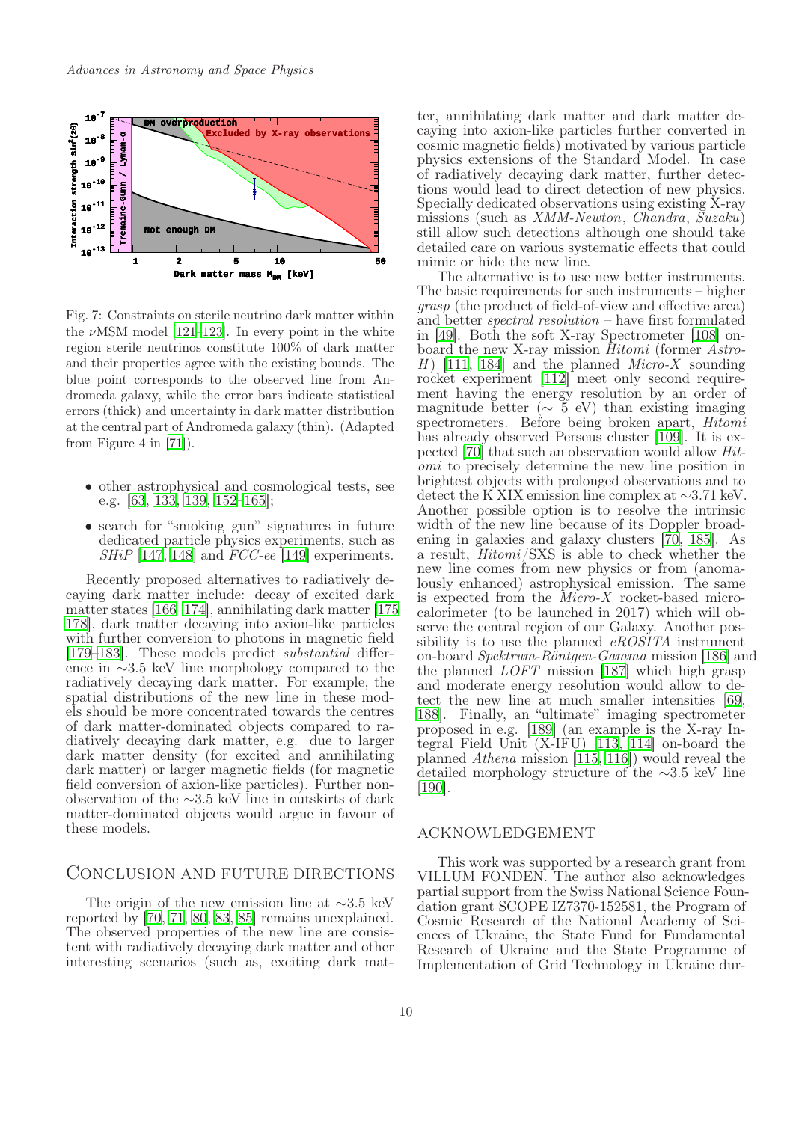

<span id="page-9-0"></span>Fig. 7: Constraints on sterile neutrino dark matter within the  $\nu$ MSM model [\[121](#page-14-7)[–123\]](#page-14-8). In every point in the white region sterile neutrinos constitute 100% of dark matter and their properties agree with the existing bounds. The blue point corresponds to the observed line from Andromeda galaxy, while the error bars indicate statistical errors (thick) and uncertainty in dark matter distribution at the central part of Andromeda galaxy (thin). (Adapted from Figure 4 in [\[71\]](#page-12-1)).

- other astrophysical and cosmological tests, see e.g. [\[63](#page-12-9), [133](#page-14-13), [139](#page-14-16), [152](#page-15-8)[–165](#page-15-9)];
- search for "smoking gun" signatures in future dedicated particle physics experiments, such as  $SHiP$  [\[147](#page-15-3), [148\]](#page-15-4) and  $FCC-ee$  [\[149\]](#page-15-5) experiments.

Recently proposed alternatives to radiatively decaying dark matter include: decay of excited dark matter states [\[166](#page-15-10)[–174](#page-16-0)], annihilating dark matter [\[175](#page-16-1)– [178\]](#page-16-2), dark matter decaying into axion-like particles with further conversion to photons in magnetic field [\[179](#page-16-3)[–183](#page-16-4)]. These models predict substantial difference in ∼3.5 keV line morphology compared to the radiatively decaying dark matter. For example, the spatial distributions of the new line in these models should be more concentrated towards the centres of dark matter-dominated objects compared to radiatively decaying dark matter, e.g. due to larger dark matter density (for excited and annihilating dark matter) or larger magnetic fields (for magnetic field conversion of axion-like particles). Further nonobservation of the ∼3.5 keV line in outskirts of dark matter-dominated objects would argue in favour of these models.

### Conclusion and future directions

The origin of the new emission line at ∼3.5 keV reported by [\[70](#page-12-0), [71](#page-12-1), [80](#page-12-18), [83](#page-12-20), [85\]](#page-12-22) remains unexplained. The observed properties of the new line are consistent with radiatively decaying dark matter and other interesting scenarios (such as, exciting dark matter, annihilating dark matter and dark matter decaying into axion-like particles further converted in cosmic magnetic fields) motivated by various particle physics extensions of the Standard Model. In case of radiatively decaying dark matter, further detections would lead to direct detection of new physics. Specially dedicated observations using existing X-ray missions (such as XMM-Newton, Chandra, Suzaku) still allow such detections although one should take detailed care on various systematic effects that could mimic or hide the new line.

The alternative is to use new better instruments. The basic requirements for such instruments – higher grasp (the product of field-of-view and effective area) and better spectral resolution – have first formulated in [\[49\]](#page-11-16). Both the soft X-ray Spectrometer [\[108](#page-13-20)] onboard the new X-ray mission Hitomi (former Astro-H  $\mid$  [\[111,](#page-13-21) [184](#page-16-5)] and the planned *Micro-X* sounding rocket experiment [\[112](#page-13-22)] meet only second requirement having the energy resolution by an order of magnitude better ( $\sim 5$  eV) than existing imaging spectrometers. Before being broken apart, Hitomi has already observed Perseus cluster [\[109](#page-13-25)]. It is expected [\[70](#page-12-0)] that such an observation would allow Hitomi to precisely determine the new line position in brightest objects with prolonged observations and to detect the K XIX emission line complex at ∼3.71 keV. Another possible option is to resolve the intrinsic width of the new line because of its Doppler broadening in galaxies and galaxy clusters [\[70,](#page-12-0) [185](#page-16-6)]. As a result, Hitomi/SXS is able to check whether the new line comes from new physics or from (anomalously enhanced) astrophysical emission. The same is expected from the Micro-X rocket-based microcalorimeter (to be launched in 2017) which will observe the central region of our Galaxy. Another possibility is to use the planned *eROSITA* instrument on-board Spektrum-Röntgen-Gamma mission [\[186](#page-16-7)] and the planned LOFT mission [\[187](#page-16-8)] which high grasp and moderate energy resolution would allow to detect the new line at much smaller intensities [\[69](#page-12-15), [188](#page-16-9)]. Finally, an "ultimate" imaging spectrometer proposed in e.g. [\[189\]](#page-16-10) (an example is the X-ray Integral Field Unit (X-IFU) [\[113](#page-13-27), [114\]](#page-14-0) on-board the planned Athena mission [\[115](#page-14-1), [116](#page-14-2)]) would reveal the detailed morphology structure of the ∼3.5 keV line [\[190](#page-16-11)].

#### acknowledgement

This work was supported by a research grant from VILLUM FONDEN. The author also acknowledges partial support from the Swiss National Science Foundation grant SCOPE IZ7370-152581, the Program of Cosmic Research of the National Academy of Sciences of Ukraine, the State Fund for Fundamental Research of Ukraine and the State Programme of Implementation of Grid Technology in Ukraine dur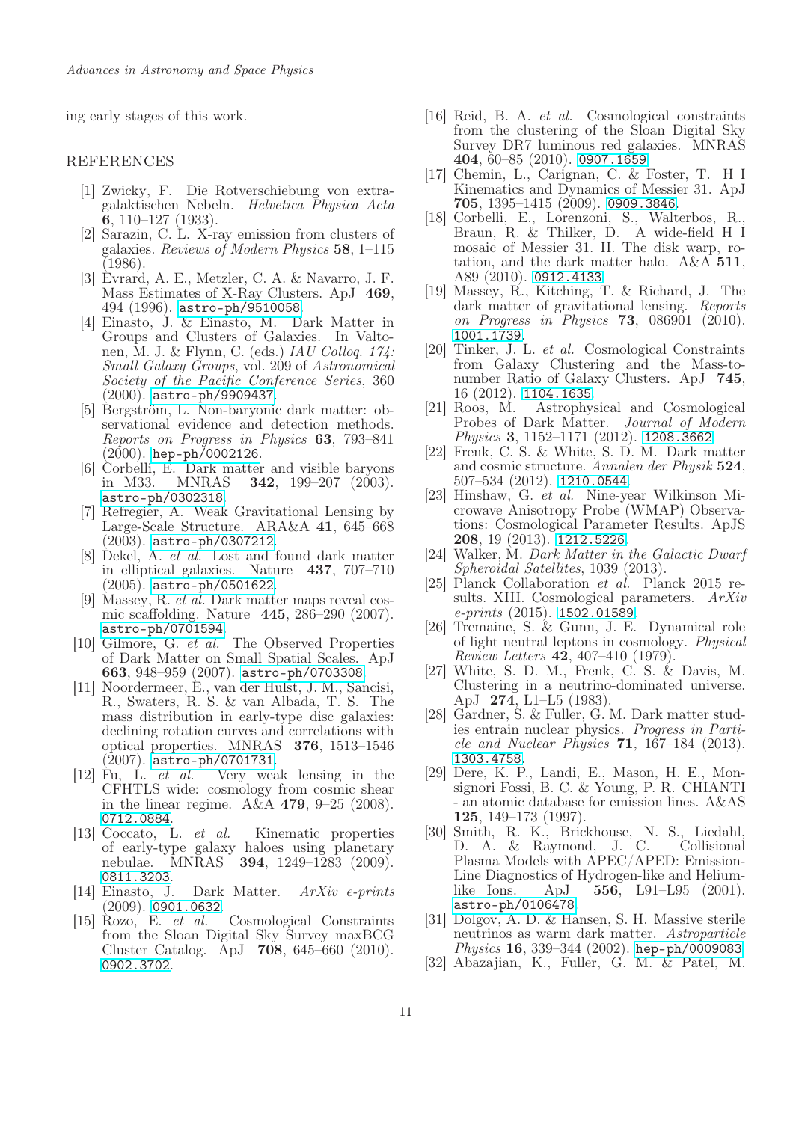ing early stages of this work.

### **REFERENCES**

- <span id="page-10-0"></span>[1] Zwicky, F. Die Rotverschiebung von extragalaktischen Nebeln. Helvetica Physica Acta 6, 110–127 (1933).
- [2] Sarazin, C. L. X-ray emission from clusters of galaxies. Reviews of Modern Physics 58, 1–115 (1986).
- [3] Evrard, A. E., Metzler, C. A. & Navarro, J. F. Mass Estimates of X-Ray Clusters. ApJ 469, 494 (1996). <astro-ph/9510058>.
- [4] Einasto, J. & Einasto, M. Dark Matter in Groups and Clusters of Galaxies. In Valtonen, M. J. & Flynn, C. (eds.) IAU Colloq. 174: Small Galaxy Groups, vol. 209 of Astronomical Society of the Pacific Conference Series, 360 (2000). <astro-ph/9909437>.
- [5] Bergström, L. Non-baryonic dark matter: observational evidence and detection methods. Reports on Progress in Physics 63, 793–841 (2000). <hep-ph/0002126>.
- [6] Corbelli, E. Dark matter and visible baryons<br>in M33. MNRAS  $342$ , 199-207 (2003). **342**, 199–207 (2003). <astro-ph/0302318>.
- [7] Refregier, A. Weak Gravitational Lensing by Large-Scale Structure. ARA&A 41, 645–668 (2003). <astro-ph/0307212>.
- [8] Dekel, A. et al. Lost and found dark matter in elliptical galaxies. Nature 437, 707–710 (2005). <astro-ph/0501622>.
- [9] Massey, R. et al. Dark matter maps reveal cosmic scaffolding. Nature 445, 286–290 (2007). <astro-ph/0701594>.
- [10] Gilmore, G. et al. The Observed Properties of Dark Matter on Small Spatial Scales. ApJ 663, 948–959 (2007). <astro-ph/0703308>.
- [11] Noordermeer, E., van der Hulst, J. M., Sancisi, R., Swaters, R. S. & van Albada, T. S. The mass distribution in early-type disc galaxies: declining rotation curves and correlations with optical properties. MNRAS 376, 1513–1546  $(2007)$ . <astro-ph/0701731>.<br>[12] Fu, L. et al. Very wes
- Very weak lensing in the CFHTLS wide: cosmology from cosmic shear in the linear regime.  $A\&A 479, 9-25$  (2008). <0712.0884>.
- [13] Coccato, L. et al. Kinematic properties of early-type galaxy haloes using planetary nebulae. MNRAS 394, 1249–1283 (2009). <0811.3203>.
- [14] Einasto, J. Dark Matter. ArXiv e-prints  $(2009)$ . <0901.0632>.
- [15] Rozo, E. et al. Cosmological Constraints from the Sloan Digital Sky Survey maxBCG Cluster Catalog. ApJ 708, 645–660 (2010). <0902.3702>.
- [16] Reid, B. A. et al. Cosmological constraints from the clustering of the Sloan Digital Sky Survey DR7 luminous red galaxies. MNRAS 404, 60–85 (2010). <0907.1659>.
- [17] Chemin, L., Carignan, C. & Foster, T. H I Kinematics and Dynamics of Messier 31. ApJ 705, 1395–1415 (2009). <0909.3846>.
- [18] Corbelli, E., Lorenzoni, S., Walterbos, R., Braun, R. & Thilker, D. A wide-field H I mosaic of Messier 31. II. The disk warp, rotation, and the dark matter halo. A&A 511, A89 (2010). <0912.4133>.
- [19] Massey, R., Kitching, T. & Richard, J. The dark matter of gravitational lensing. Reports on Progress in Physics 73, 086901 (2010). <1001.1739>.
- [20] Tinker, J. L. et al. Cosmological Constraints from Galaxy Clustering and the Mass-tonumber Ratio of Galaxy Clusters. ApJ 745, 16 (2012). <1104.1635>.<br>[21] Roos, M. Astrophys
- Astrophysical and Cosmological Probes of Dark Matter. Journal of Modern Physics 3, 1152-1171 (2012). <1208.3662>.
- [22] Frenk, C. S. & White, S. D. M. Dark matter and cosmic structure. Annalen der Physik 524, 507–534 (2012). <1210.0544>.
- [23] Hinshaw, G. et al. Nine-year Wilkinson Microwave Anisotropy Probe (WMAP) Observations: Cosmological Parameter Results. ApJS 208, 19 (2013). <1212.5226>.
- [24] Walker, M. Dark Matter in the Galactic Dwarf Spheroidal Satellites, 1039 (2013).
- <span id="page-10-1"></span>[25] Planck Collaboration et al. Planck 2015 results. XIII. Cosmological parameters. ArXiv  $e\text{-}prints (2015)$ . <1502.01589>.
- <span id="page-10-2"></span>[26] Tremaine, S. & Gunn, J. E. Dynamical role of light neutral leptons in cosmology. Physical Review Letters 42, 407–410 (1979).
- <span id="page-10-3"></span>[27] White, S. D. M., Frenk, C. S. & Davis, M. Clustering in a neutrino-dominated universe. ApJ 274, L1–L5 (1983).
- <span id="page-10-4"></span>[28] Gardner, S. & Fuller, G. M. Dark matter studies entrain nuclear physics. Progress in Particle and Nuclear Physics  $71$ , 167–184 (2013). <1303.4758>.
- <span id="page-10-5"></span>[29] Dere, K. P., Landi, E., Mason, H. E., Monsignori Fossi, B. C. & Young, P. R. CHIANTI - an atomic database for emission lines. A&AS 125, 149–173 (1997).
- <span id="page-10-6"></span>[30] Smith, R. K., Brickhouse, N. S., Liedahl, D. A. & Raymond, J. C. Collisional Plasma Models with APEC/APED: Emission-Line Diagnostics of Hydrogen-like and Heliumlike Ions. ApJ 556, L91–L95 (2001). <astro-ph/0106478>.
- <span id="page-10-7"></span>[31] Dolgov, A. D. & Hansen, S. H. Massive sterile neutrinos as warm dark matter. Astroparticle Physics 16, 339-344 (2002). <hep-ph/0009083>.
- [32] Abazajian, K., Fuller, G. M. & Patel, M.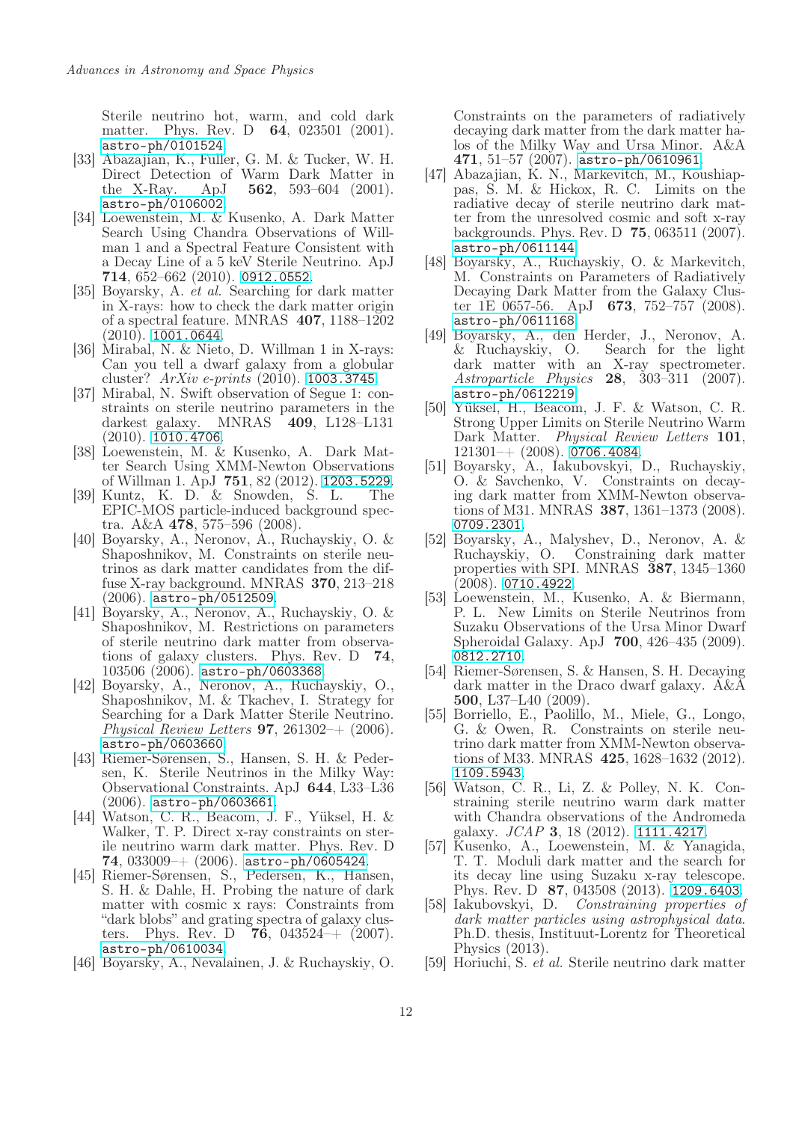Sterile neutrino hot, warm, and cold dark matter. Phys. Rev. D 64, 023501 (2001). <astro-ph/0101524>.

- <span id="page-11-0"></span>[33] Abazajian, K., Fuller, G. M. & Tucker, W. H. Direct Detection of Warm Dark Matter in the X-Ray. ApJ  $562$ ,  $593-604$  (2001). <astro-ph/0106002>.
- <span id="page-11-1"></span>[34] Loewenstein, M. & Kusenko, A. Dark Matter Search Using Chandra Observations of Willman 1 and a Spectral Feature Consistent with a Decay Line of a 5 keV Sterile Neutrino. ApJ  $714, 652–662 (2010)$ . <0912.0552>.
- <span id="page-11-2"></span>[35] Boyarsky, A. et al. Searching for dark matter in X-rays: how to check the dark matter origin of a spectral feature. MNRAS 407, 1188–1202  $(2010)$ . <1001.0644>.
- <span id="page-11-3"></span>[36] Mirabal, N. & Nieto, D. Willman 1 in X-rays: Can you tell a dwarf galaxy from a globular cluster? ArXiv e-prints (2010). <1003.3745>.
- <span id="page-11-4"></span>[37] Mirabal, N. Swift observation of Segue 1: constraints on sterile neutrino parameters in the darkest galaxy. MNRAS 409, L128–L131 (2010). <1010.4706>.
- <span id="page-11-5"></span>[38] Loewenstein, M. & Kusenko, A. Dark Matter Search Using XMM-Newton Observations of Willman 1. ApJ 751, 82 (2012). <1203.5229>.
- <span id="page-11-6"></span>[39] Kuntz, K. D. & Snowden, S. L. The EPIC-MOS particle-induced background spectra. A&A 478, 575–596 (2008).
- <span id="page-11-7"></span>[40] Boyarsky, A., Neronov, A., Ruchayskiy, O. & Shaposhnikov, M. Constraints on sterile neutrinos as dark matter candidates from the diffuse X-ray background. MNRAS 370, 213–218 (2006). <astro-ph/0512509>.
- <span id="page-11-8"></span>[41] Boyarsky, A., Neronov, A., Ruchayskiy, O. & Shaposhnikov, M. Restrictions on parameters of sterile neutrino dark matter from observations of galaxy clusters. Phys. Rev. D 74, 103506 (2006). <astro-ph/0603368>.
- <span id="page-11-9"></span>[42] Boyarsky, A., Neronov, A., Ruchayskiy, O., Shaposhnikov, M. & Tkachev, I. Strategy for Searching for a Dark Matter Sterile Neutrino. Physical Review Letters **97**, 261302–+  $(2006)$ . <astro-ph/0603660>.
- <span id="page-11-10"></span>[43] Riemer-Sørensen, S., Hansen, S. H. & Pedersen, K. Sterile Neutrinos in the Milky Way: Observational Constraints. ApJ 644, L33–L36 (2006). <astro-ph/0603661>.
- <span id="page-11-11"></span>[44] Watson, C. R., Beacom, J. F., Yüksel, H. & Walker, T. P. Direct x-ray constraints on sterile neutrino warm dark matter. Phys. Rev. D 74,  $033009 + (2006)$ . <astro-ph/0605424>.
- <span id="page-11-12"></span>[45] Riemer-Sørensen, S., Pedersen, K., Hansen, S. H. & Dahle, H. Probing the nature of dark matter with cosmic x rays: Constraints from "dark blobs" and grating spectra of galaxy clusters. Phys. Rev. D  $76$ , 043524 + (2007). <astro-ph/0610034>.
- <span id="page-11-13"></span>[46] Boyarsky, A., Nevalainen, J. & Ruchayskiy, O.

Constraints on the parameters of radiatively decaying dark matter from the dark matter halos of the Milky Way and Ursa Minor. A&A  $471, 51-57 (2007)$ . <astro-ph/0610961>.

- <span id="page-11-14"></span>[47] Abazajian, K. N., Markevitch, M., Koushiappas, S. M. & Hickox, R. C. Limits on the radiative decay of sterile neutrino dark matter from the unresolved cosmic and soft x-ray backgrounds. Phys. Rev. D 75, 063511 (2007). <astro-ph/0611144>.
- <span id="page-11-15"></span>[48] Boyarsky, A., Ruchayskiy, O. & Markevitch, M. Constraints on Parameters of Radiatively Decaying Dark Matter from the Galaxy Cluster 1E 0657-56. ApJ 673, 752–757 (2008). <astro-ph/0611168>.
- <span id="page-11-16"></span>[49] Boyarsky, A., den Herder, J., Neronov, A. & Ruchayskiy, O. Search for the light dark matter with an X-ray spectrometer. Astroparticle Physics 28, 303–311 (2007). <astro-ph/0612219>.
- <span id="page-11-17"></span>[50] Yüksel, H., Beacom, J. F. & Watson, C. R. Strong Upper Limits on Sterile Neutrino Warm Dark Matter. Physical Review Letters 101.  $121301-+$  (2008). <0706.4084>.
- <span id="page-11-18"></span>[51] Boyarsky, A., Iakubovskyi, D., Ruchayskiy, O. & Savchenko, V. Constraints on decaying dark matter from XMM-Newton observations of M31. MNRAS 387, 1361–1373 (2008). <0709.2301>.
- <span id="page-11-19"></span>[52] Boyarsky, A., Malyshev, D., Neronov, A. & Ruchayskiy, O. Constraining dark matter properties with SPI. MNRAS 387, 1345–1360 (2008). <0710.4922>.
- <span id="page-11-20"></span>[53] Loewenstein, M., Kusenko, A. & Biermann, P. L. New Limits on Sterile Neutrinos from Suzaku Observations of the Ursa Minor Dwarf Spheroidal Galaxy. ApJ 700, 426–435 (2009). <0812.2710>.
- <span id="page-11-21"></span>[54] Riemer-Sørensen, S. & Hansen, S. H. Decaying dark matter in the Draco dwarf galaxy. A&A 500, L37–L40 (2009).
- <span id="page-11-22"></span>[55] Borriello, E., Paolillo, M., Miele, G., Longo, G. & Owen, R. Constraints on sterile neutrino dark matter from XMM-Newton observations of M33. MNRAS 425, 1628–1632 (2012). <1109.5943>.
- <span id="page-11-23"></span>[56] Watson, C. R., Li, Z. & Polley, N. K. Constraining sterile neutrino warm dark matter with Chandra observations of the Andromeda galaxy.  $JCAP$  3, 18 (2012). <1111.4217>.
- <span id="page-11-24"></span>[57] Kusenko, A., Loewenstein, M. & Yanagida, T. T. Moduli dark matter and the search for its decay line using Suzaku x-ray telescope. Phys. Rev. D 87, 043508 (2013). <1209.6403>.<br>[58] Iakubovskyi, D. *Constraining properties of*
- <span id="page-11-25"></span> $Constraining$  properties of dark matter particles using astrophysical data. Ph.D. thesis, Instituut-Lorentz for Theoretical Physics (2013).
- <span id="page-11-26"></span>[59] Horiuchi, S. et al. Sterile neutrino dark matter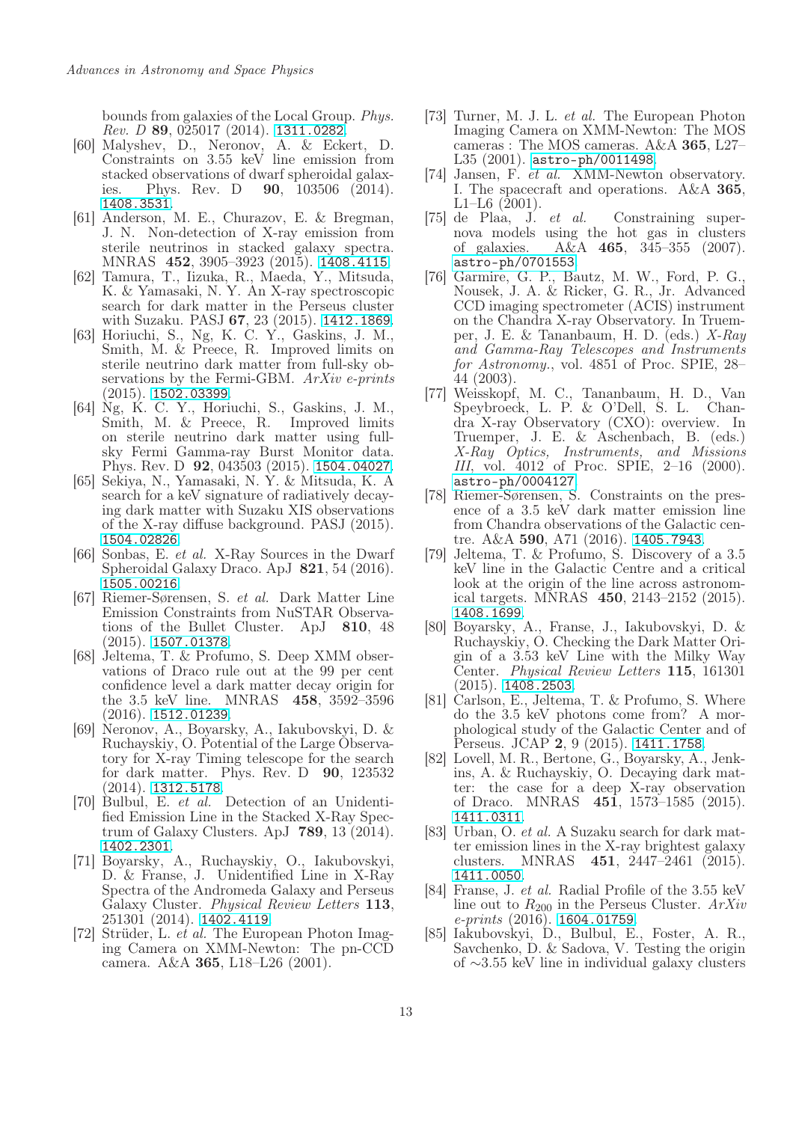bounds from galaxies of the Local Group. Phys.  $Rev. D$  89, 025017 (2014). <1311.0282>.

- <span id="page-12-6"></span>[60] Malyshev, D., Neronov, A. & Eckert, D. Constraints on 3.55 keV line emission from stacked observations of dwarf spheroidal galaxies. Phys. Rev. D **90**, 103506 (2014). <1408.3531>.
- <span id="page-12-7"></span>[61] Anderson, M. E., Churazov, E. & Bregman, J. N. Non-detection of X-ray emission from sterile neutrinos in stacked galaxy spectra. MNRAS 452, 3905–3923 (2015). <1408.4115>.
- <span id="page-12-8"></span>[62] Tamura, T., Iizuka, R., Maeda, Y., Mitsuda, K. & Yamasaki, N. Y. An X-ray spectroscopic search for dark matter in the Perseus cluster with Suzaku. PASJ 67, 23 (2015). <1412.1869>.
- <span id="page-12-9"></span>[63] Horiuchi, S., Ng, K. C. Y., Gaskins, J. M., Smith, M. & Preece, R. Improved limits on sterile neutrino dark matter from full-sky observations by the Fermi-GBM. ArXiv e-prints (2015). <1502.03399>.
- <span id="page-12-10"></span>[64] Ng, K. C. Y., Horiuchi, S., Gaskins, J. M., Smith, M. & Preece, R. Improved limits on sterile neutrino dark matter using fullsky Fermi Gamma-ray Burst Monitor data. Phys. Rev. D 92, 043503 (2015). <1504.04027>.
- <span id="page-12-11"></span>[65] Sekiya, N., Yamasaki, N. Y. & Mitsuda, K. A search for a keV signature of radiatively decaying dark matter with Suzaku XIS observations of the X-ray diffuse background. PASJ (2015). <1504.02826>.
- <span id="page-12-12"></span>[66] Sonbas, E. et al. X-Ray Sources in the Dwarf Spheroidal Galaxy Draco. ApJ 821, 54 (2016). <1505.00216>.
- <span id="page-12-13"></span>[67] Riemer-Sørensen, S. et al. Dark Matter Line Emission Constraints from NuSTAR Observations of the Bullet Cluster. ApJ 810, 48 (2015). <1507.01378>.
- <span id="page-12-14"></span>[68] Jeltema, T. & Profumo, S. Deep XMM observations of Draco rule out at the 99 per cent confidence level a dark matter decay origin for the 3.5 keV line. MNRAS 458, 3592–3596 (2016). <1512.01239>.
- <span id="page-12-15"></span>[69] Neronov, A., Boyarsky, A., Iakubovskyi, D. & Ruchayskiy, O. Potential of the Large Observatory for X-ray Timing telescope for the search for dark matter. Phys. Rev. D 90, 123532 (2014). <1312.5178>.
- <span id="page-12-0"></span>[70] Bulbul, E. et al. Detection of an Unidentified Emission Line in the Stacked X-Ray Spectrum of Galaxy Clusters. ApJ 789, 13 (2014). <1402.2301>.
- <span id="page-12-1"></span>[71] Boyarsky, A., Ruchayskiy, O., Iakubovskyi, D. & Franse, J. Unidentified Line in X-Ray Spectra of the Andromeda Galaxy and Perseus Galaxy Cluster. Physical Review Letters 113, 251301 (2014). <1402.4119>.
- <span id="page-12-2"></span>[72] Strüder, L. *et al.* The European Photon Imaging Camera on XMM-Newton: The pn-CCD camera. A&A 365, L18–L26 (2001).
- <span id="page-12-3"></span>[73] Turner, M. J. L. et al. The European Photon Imaging Camera on XMM-Newton: The MOS cameras : The MOS cameras. A&A 365, L27– L35 (2001). <astro-ph/0011498>.
- <span id="page-12-4"></span>[74] Jansen, F. et al. XMM-Newton observatory. I. The spacecraft and operations. A&A 365, L1–L6 (2001).
- <span id="page-12-5"></span>[75] de Plaa, J. et al. Constraining supernova models using the hot gas in clusters<br>of galaxies.  $A&A$  **465**, 345–355 (2007).  $A&A$  465, 345–355 (2007). <astro-ph/0701553>.
- <span id="page-12-23"></span>[76] Garmire, G. P., Bautz, M. W., Ford, P. G., Nousek, J. A. & Ricker, G. R., Jr. Advanced CCD imaging spectrometer (ACIS) instrument on the Chandra X-ray Observatory. In Truemper, J. E. & Tananbaum, H. D. (eds.) X-Ray and Gamma-Ray Telescopes and Instruments for Astronomy., vol. 4851 of Proc. SPIE, 28– 44 (2003).
- <span id="page-12-24"></span>[77] Weisskopf, M. C., Tananbaum, H. D., Van Speybroeck, L. P. & O'Dell, S. L. dra X-ray Observatory (CXO): overview. In Truemper, J. E. & Aschenbach, B. (eds.) X-Ray Optics, Instruments, and Missions III, vol. 4012 of Proc. SPIE, 2–16 (2000). <astro-ph/0004127>.
- <span id="page-12-16"></span>[78] Riemer-Sørensen, S. Constraints on the presence of a 3.5 keV dark matter emission line from Chandra observations of the Galactic centre. A&A 590, A71 (2016). <1405.7943>.
- <span id="page-12-25"></span>[79] Jeltema, T. & Profumo, S. Discovery of a 3.5 keV line in the Galactic Centre and a critical look at the origin of the line across astronomical targets. MNRAS 450, 2143–2152 (2015). <1408.1699>.
- <span id="page-12-18"></span>[80] Boyarsky, A., Franse, J., Iakubovskyi, D. & Ruchayskiy, O. Checking the Dark Matter Origin of a 3.53 keV Line with the Milky Way Center. Physical Review Letters 115, 161301 (2015). <1408.2503>.
- <span id="page-12-17"></span>[81] Carlson, E., Jeltema, T. & Profumo, S. Where do the 3.5 keV photons come from? A morphological study of the Galactic Center and of Perseus. JCAP 2, 9 (2015). <1411.1758>.
- <span id="page-12-19"></span>[82] Lovell, M. R., Bertone, G., Boyarsky, A., Jenkins, A. & Ruchayskiy, O. Decaying dark matter: the case for a deep X-ray observation of Draco. MNRAS 451, 1573–1585 (2015). <1411.0311>.
- <span id="page-12-20"></span>[83] Urban, O. et al. A Suzaku search for dark matter emission lines in the X-ray brightest galaxy clusters. MNRAS 451, 2447–2461 (2015). <1411.0050>.
- <span id="page-12-21"></span>[84] Franse, J. et al. Radial Profile of the 3.55 keV line out to  $R_{200}$  in the Perseus Cluster.  $ArXiv$  $e\text{-}prints (2016)$ . <1604.01759>.
- <span id="page-12-22"></span>[85] Iakubovskyi, D., Bulbul, E., Foster, A. R., Savchenko, D. & Sadova, V. Testing the origin of ∼3.55 keV line in individual galaxy clusters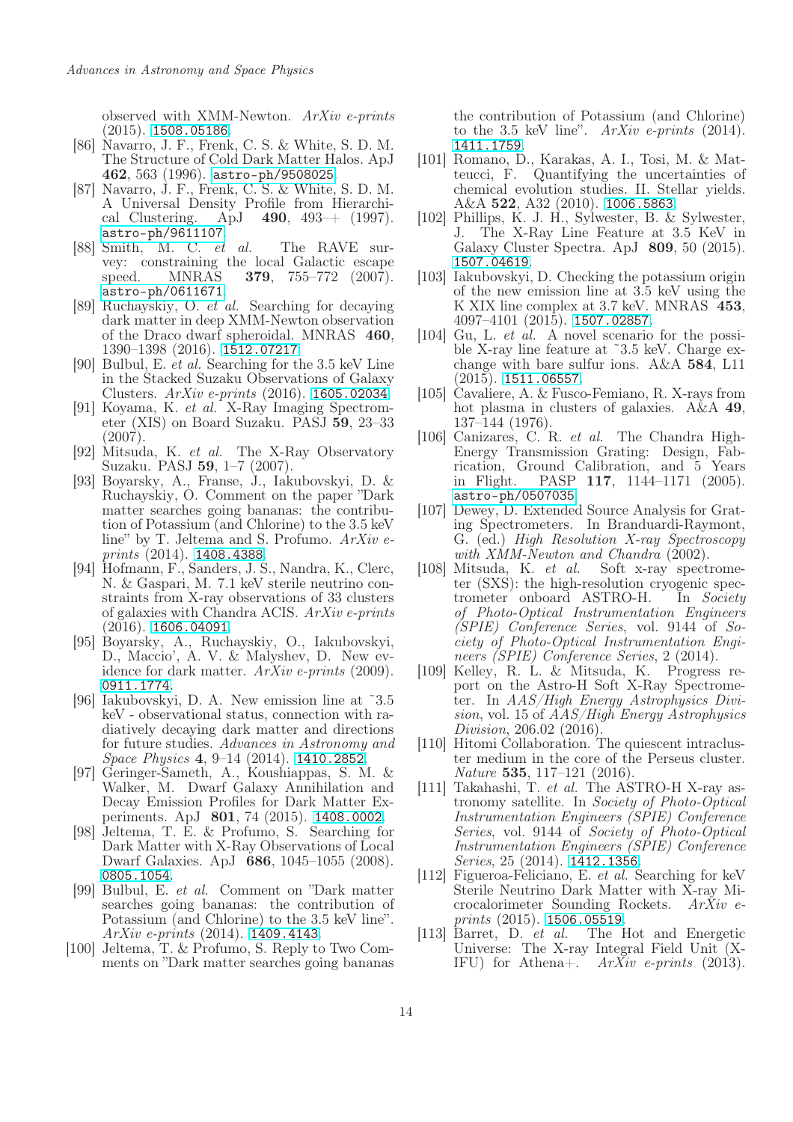observed with XMM-Newton. ArXiv e-prints (2015). <1508.05186>.

- <span id="page-13-5"></span>[86] Navarro, J. F., Frenk, C. S. & White, S. D. M. The Structure of Cold Dark Matter Halos. ApJ 462, 563 (1996). <astro-ph/9508025>.
- <span id="page-13-6"></span>[87] Navarro, J. F., Frenk, C. S. & White, S. D. M. A Universal Density Profile from Hierarchical Clustering. ApJ 490, 493–+ (1997). <astro-ph/9611107>.
- <span id="page-13-7"></span>[88] Smith, M. C. et al. The RAVE survey: constraining the local Galactic escape speed. MNRAS **379**, 755–772 (2007). <astro-ph/0611671>.
- <span id="page-13-0"></span>[89] Ruchayskiy, O. et al. Searching for decaying dark matter in deep XMM-Newton observation of the Draco dwarf spheroidal. MNRAS 460, 1390–1398 (2016). <1512.07217>.
- <span id="page-13-1"></span>[90] Bulbul, E. et al. Searching for the 3.5 keV Line in the Stacked Suzaku Observations of Galaxy Clusters. ArXiv e-prints (2016). <1605.02034>.
- <span id="page-13-2"></span>[91] Koyama, K. et al. X-Ray Imaging Spectrometer (XIS) on Board Suzaku. PASJ 59, 23–33 (2007).
- <span id="page-13-3"></span>[92] Mitsuda, K. et al. The X-Ray Observatory Suzaku. PASJ 59, 1–7 (2007).
- <span id="page-13-4"></span>[93] Boyarsky, A., Franse, J., Iakubovskyi, D. & Ruchayskiy, O. Comment on the paper "Dark matter searches going bananas: the contribution of Potassium (and Chlorine) to the 3.5 keV line" by T. Jeltema and S. Profumo.  $ArXiv$  eprints (2014). <1408.4388>.
- <span id="page-13-8"></span>[94] Hofmann, F., Sanders, J. S., Nandra, K., Clerc, N. & Gaspari, M. 7.1 keV sterile neutrino constraints from X-ray observations of 33 clusters of galaxies with Chandra ACIS. ArXiv e-prints  $(2016)$ . <1606.04091>.
- <span id="page-13-9"></span>[95] Boyarsky, A., Ruchayskiy, O., Iakubovskyi, D., Maccio', A. V. & Malyshev, D. New evidence for dark matter. ArXiv e-prints (2009). <0911.1774>.
- <span id="page-13-10"></span>[96] Iakubovskyi, D. A. New emission line at ˜3.5 keV - observational status, connection with radiatively decaying dark matter and directions for future studies. Advances in Astronomy and Space Physics 4, 9–14 (2014). <1410.2852>.
- <span id="page-13-11"></span>[97] Geringer-Sameth, A., Koushiappas, S. M. & Walker, M. Dwarf Galaxy Annihilation and Decay Emission Profiles for Dark Matter Experiments. ApJ 801, 74 (2015). <1408.0002>.
- <span id="page-13-12"></span>[98] Jeltema, T. E. & Profumo, S. Searching for Dark Matter with X-Ray Observations of Local Dwarf Galaxies. ApJ 686, 1045–1055 (2008). <0805.1054>.
- <span id="page-13-13"></span>[99] Bulbul, E. et al. Comment on "Dark matter searches going bananas: the contribution of Potassium (and Chlorine) to the 3.5 keV line".  $ArXiv$  e-prints (2014). <1409.4143>.
- <span id="page-13-14"></span>[100] Jeltema, T. & Profumo, S. Reply to Two Comments on "Dark matter searches going bananas

the contribution of Potassium (and Chlorine) to the 3.5 keV line".  $ArXiv$  e-prints (2014). <1411.1759>.

- <span id="page-13-15"></span>[101] Romano, D., Karakas, A. I., Tosi, M. & Matteucci, F. Quantifying the uncertainties of chemical evolution studies. II. Stellar yields. A&A 522, A32 (2010). <1006.5863>.
- <span id="page-13-16"></span>[102] Phillips, K. J. H., Sylwester, B. & Sylwester, J. The X-Ray Line Feature at 3.5 KeV in Galaxy Cluster Spectra. ApJ 809, 50 (2015). <1507.04619>.
- <span id="page-13-17"></span>[103] Iakubovskyi, D. Checking the potassium origin of the new emission line at 3.5 keV using the K XIX line complex at 3.7 keV. MNRAS 453, 4097–4101 (2015). <1507.02857>.
- <span id="page-13-18"></span>[104] Gu, L. et  $\hat{al}$ . A novel scenario for the possible X-ray line feature at ˜3.5 keV. Charge exchange with bare sulfur ions. A&A 584, L11  $(2015)$ . <1511.06557>.
- <span id="page-13-19"></span>[105] Cavaliere, A. & Fusco-Femiano, R. X-rays from hot plasma in clusters of galaxies. A&A 49, 137–144 (1976).
- <span id="page-13-23"></span>[106] Canizares, C. R. et al. The Chandra High-Energy Transmission Grating: Design, Fabrication, Ground Calibration, and 5 Years in Flight. PASP 117, 1144–1171 (2005). <astro-ph/0507035>.
- <span id="page-13-24"></span>[107] Dewey, D. Extended Source Analysis for Grating Spectrometers. In Branduardi-Raymont, G. (ed.) High Resolution X-ray Spectroscopy
- <span id="page-13-20"></span>with XMM-Newton and Chandra (2002).<br>Mitsuda, K. et al. Soft x-ray spect. [108] Mitsuda, K. et al. Soft x-ray spectrometer (SXS): the high-resolution cryogenic spectrometer onboard ASTRO-H. In Society of Photo-Optical Instrumentation Engineers (SPIE) Conference Series, vol. 9144 of Society of Photo-Optical Instrumentation Engineers (SPIE) Conference Series, 2 (2014).
- <span id="page-13-25"></span>[109] Kelley, R. L. & Mitsuda, K. Progress report on the Astro-H Soft X-Ray Spectrometer. In AAS/High Energy Astrophysics Division, vol. 15 of AAS/High Energy Astrophysics Division, 206.02 (2016).
- <span id="page-13-26"></span>[110] Hitomi Collaboration. The quiescent intracluster medium in the core of the Perseus cluster. Nature 535, 117–121 (2016).
- <span id="page-13-21"></span>[111] Takahashi, T. et al. The ASTRO-H X-ray astronomy satellite. In Society of Photo-Optical Instrumentation Engineers (SPIE) Conference Series, vol. 9144 of Society of Photo-Optical Instrumentation Engineers (SPIE) Conference Series, 25 (2014). <1412.1356>.
- <span id="page-13-22"></span>[112] Figueroa-Feliciano, E. et al. Searching for keV Sterile Neutrino Dark Matter with X-ray Microcalorimeter Sounding Rockets. ArXiv e- $prints (2015). 1506.05519.$  $prints (2015). 1506.05519.$  $prints (2015). 1506.05519.$
- <span id="page-13-27"></span>[113] Barret, D. et al. The Hot and Energetic Universe: The X-ray Integral Field Unit (X-IFU) for Athena+.  $ArXiv$  e-prints (2013).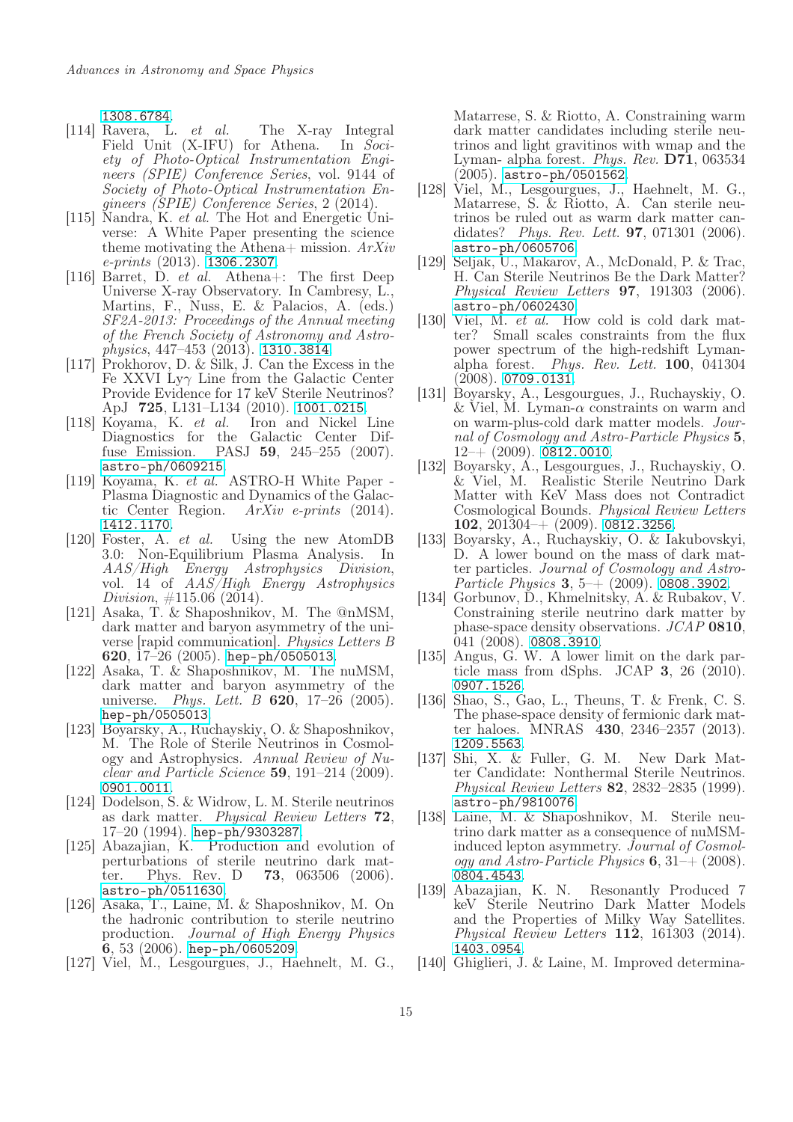<1308.6784>.<br>[114] Ravera, L.

- <span id="page-14-0"></span>*et al.* The X-ray Integral<br>(X-IFU) for Athena. In Soci-Field Unit  $(X$ -IFU) for Athena. ety of Photo-Optical Instrumentation Engineers (SPIE) Conference Series, vol. 9144 of Society of Photo-Optical Instrumentation Engineers (SPIE) Conference Series, 2 (2014).
- <span id="page-14-1"></span>[115] Nandra, K. et al. The Hot and Energetic Universe: A White Paper presenting the science theme motivating the Athena+ mission.  $ArXiv$ e-prints (2013). <1306.2307>.
- <span id="page-14-2"></span>[116] Barret, D. et al. Athena+: The first Deep Universe X-ray Observatory. In Cambresy, L., Martins, F., Nuss, E. & Palacios, A. (eds.) SF2A-2013: Proceedings of the Annual meeting of the French Society of Astronomy and Astro $physics, 447–453 (2013).$  <1310.3814>.
- <span id="page-14-3"></span>[117] Prokhorov, D. & Silk, J. Can the Excess in the Fe XXVI Ly $\gamma$  Line from the Galactic Center Provide Evidence for 17 keV Sterile Neutrinos? ApJ 725, L131–L134 (2010). <1001.0215>.<br>Koyama, K. *et al.* Iron and Nickel Line
- <span id="page-14-4"></span>[118] Koyama, K.  $et \, al.$ Diagnostics for the Galactic Center Diffuse Emission. PASJ 59, 245–255 (2007). <astro-ph/0609215>.
- <span id="page-14-5"></span>[119] Koyama, K. et al. ASTRO-H White Paper - Plasma Diagnostic and Dynamics of the Galactic Center Region. ArXiv e-prints (2014). <1412.1170>.
- <span id="page-14-6"></span>[120] Foster, A. et al. Using the new AtomDB 3.0: Non-Equilibrium Plasma Analysis. In AAS/High Energy Astrophysics Division, vol. 14 of AAS/High Energy Astrophysics Division,  $\#115.06$  (2014).
- <span id="page-14-7"></span>[121] Asaka, T. & Shaposhnikov, M. The @nMSM, dark matter and baryon asymmetry of the universe [rapid communication]. Physics Letters B 620, 17–26 (2005). <hep-ph/0505013>.
- [122] Asaka, T. & Shaposhnikov, M. The nuMSM, dark matter and baryon asymmetry of the universe. *Phys. Lett. B*  $620$ , 17–26 (2005). <hep-ph/0505013>.
- <span id="page-14-8"></span>[123] Boyarsky, A., Ruchayskiy, O. & Shaposhnikov, M. The Role of Sterile Neutrinos in Cosmology and Astrophysics. Annual Review of Nuclear and Particle Science 59, 191–214 (2009). <0901.0011>.
- <span id="page-14-9"></span>[124] Dodelson, S. & Widrow, L. M. Sterile neutrinos as dark matter. Physical Review Letters 72, 17–20 (1994). <hep-ph/9303287>.
- [125] Abazajian, K. Production and evolution of perturbations of sterile neutrino dark matter. Phys. Rev. D 73, 063506 (2006). ter. Phys. Rev. D **73**, 063506 (2006). <astro-ph/0511630>.
- <span id="page-14-10"></span>[126] Asaka, T., Laine, M. & Shaposhnikov, M. On the hadronic contribution to sterile neutrino production. Journal of High Energy Physics  $6, 53$  (2006). <hep-ph/0605209>.
- <span id="page-14-11"></span>[127] Viel, M., Lesgourgues, J., Haehnelt, M. G.,

Matarrese, S. & Riotto, A. Constraining warm dark matter candidates including sterile neutrinos and light gravitinos with wmap and the Lyman- alpha forest. Phys. Rev. D71, 063534 (2005). <astro-ph/0501562>.

- [128] Viel, M., Lesgourgues, J., Haehnelt, M. G., Matarrese, S. & Riotto, A. Can sterile neutrinos be ruled out as warm dark matter candidates? Phys. Rev. Lett. 97, 071301 (2006). <astro-ph/0605706>.
- [129] Seljak, U., Makarov, A., McDonald, P. & Trac, H. Can Sterile Neutrinos Be the Dark Matter? Physical Review Letters 97, 191303 (2006). <astro-ph/0602430>.
- [130] Viel, M. *et al.* How cold is cold dark matter? Small scales constraints from the flux power spectrum of the high-redshift Lymanalpha forest. Phys. Rev. Lett. 100, 041304 (2008). <0709.0131>.
- [131] Boyarsky, A., Lesgourgues, J., Ruchayskiy, O. & Viel, M. Lyman- $\alpha$  constraints on warm and on warm-plus-cold dark matter models. Journal of Cosmology and Astro-Particle Physics 5,  $12-+$  (2009). <0812.0010>.
- <span id="page-14-12"></span>[132] Boyarsky, A., Lesgourgues, J., Ruchayskiy, O. & Viel, M. Realistic Sterile Neutrino Dark Matter with KeV Mass does not Contradict Cosmological Bounds. Physical Review Letters 102,  $201304 + (2009)$ . <0812.3256>.
- <span id="page-14-13"></span>[133] Boyarsky, A., Ruchayskiy, O. & Iakubovskyi, D. A lower bound on the mass of dark matter particles. Journal of Cosmology and Astro-Particle Physics 3, 5–+ (2009). <0808.3902>.
- [134] Gorbunov, D., Khmelnitsky, A. & Rubakov, V. Constraining sterile neutrino dark matter by phase-space density observations. JCAP 0810, 041 (2008). <0808.3910>.
- [135] Angus, G. W. A lower limit on the dark particle mass from dSphs. JCAP  $3, 26$  (2010). <0907.1526>.
- <span id="page-14-14"></span>[136] Shao, S., Gao, L., Theuns, T. & Frenk, C. S. The phase-space density of fermionic dark matter haloes. MNRAS 430, 2346–2357 (2013). <1209.5563>.
- <span id="page-14-15"></span>[137] Shi, X. & Fuller, G. M. New Dark Matter Candidate: Nonthermal Sterile Neutrinos. Physical Review Letters 82, 2832–2835 (1999). <astro-ph/9810076>.
- [138] Laine, M. & Shaposhnikov, M. Sterile neutrino dark matter as a consequence of nuMSMinduced lepton asymmetry. Journal of Cosmology and Astro-Particle Physics  $6, 31$ –+ (2008). <0804.4543>.
- <span id="page-14-16"></span>[139] Abazajian, K. N. Resonantly Produced 7 keV Sterile Neutrino Dark Matter Models and the Properties of Milky Way Satellites. Physical Review Letters  $112$ , 161303 (2014). <1403.0954>.
- [140] Ghiglieri, J. & Laine, M. Improved determina-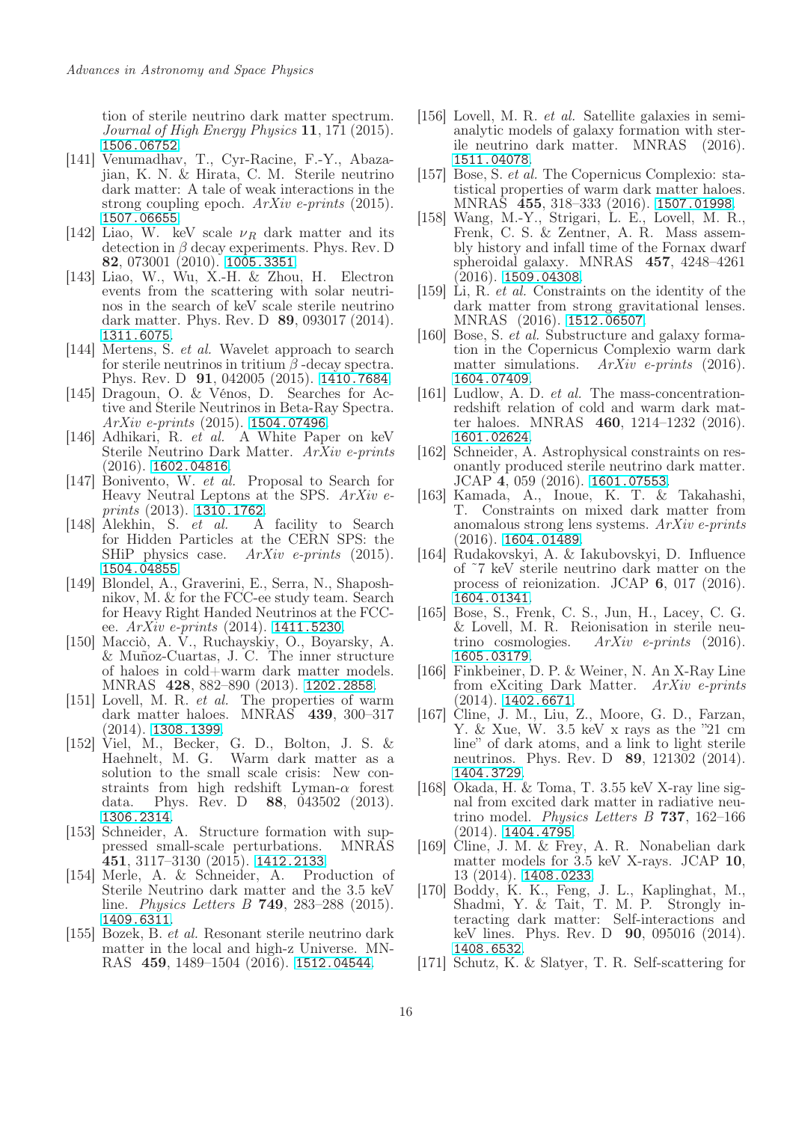tion of sterile neutrino dark matter spectrum. Journal of High Energy Physics 11, 171 (2015). <1506.06752>.

- <span id="page-15-0"></span>[141] Venumadhav, T., Cyr-Racine, F.-Y., Abazajian, K. N. & Hirata, C. M. Sterile neutrino dark matter: A tale of weak interactions in the strong coupling epoch. ArXiv e-prints (2015). <1507.06655>.
- <span id="page-15-1"></span>[142] Liao, W. keV scale  $\nu_R$  dark matter and its detection in  $\beta$  decay experiments. Phys. Rev. D 82, 073001 (2010). <1005.3351>.
- [143] Liao, W., Wu, X.-H. & Zhou, H. Electron events from the scattering with solar neutrinos in the search of keV scale sterile neutrino dark matter. Phys. Rev. D **89**, 093017 (2014). <1311.6075>.
- [144] Mertens, S. *et al.* Wavelet approach to search for sterile neutrinos in tritium  $\beta$  -decay spectra. Phys. Rev. D 91, 042005 (2015). <1410.7684>.
- [145] Dragoun, O. & Vénos, D. Searches for Active and Sterile Neutrinos in Beta-Ray Spectra.  $ArXiv$  e-prints (2015). <1504.07496>.
- <span id="page-15-2"></span>[146] Adhikari, R. *et al.* A White Paper on keV Sterile Neutrino Dark Matter. ArXiv e-prints (2016). <1602.04816>.
- <span id="page-15-3"></span>[147] Bonivento, W. et al. Proposal to Search for Heavy Neutral Leptons at the SPS. ArXiv eprints (2013). <1310.1762>.
- <span id="page-15-4"></span>[148] Alekhin, S. et al. A facility to Search for Hidden Particles at the CERN SPS: the SHiP physics case. ArXiv e-prints (2015). <1504.04855>.
- <span id="page-15-5"></span>[149] Blondel, A., Graverini, E., Serra, N., Shaposhnikov, M. & for the FCC-ee study team. Search for Heavy Right Handed Neutrinos at the FCCee.  $ArXiv$  e-prints (2014). <1411.5230>.
- <span id="page-15-6"></span>[150] Macciò, A. V., Ruchayskiy, O., Boyarsky, A. & Muñoz-Cuartas, J. C. The inner structure of haloes in cold+warm dark matter models. MNRAS 428, 882–890 (2013). <1202.2858>.
- <span id="page-15-7"></span>[151] Lovell, M. R. *et al.* The properties of warm dark matter haloes. MNRAS 439, 300–317 (2014). <1308.1399>.
- <span id="page-15-8"></span>[152] Viel, M., Becker, G. D., Bolton, J. S. & Haehnelt, M. G. Warm dark matter as a solution to the small scale crisis: New constraints from high redshift Lyman- $\alpha$  forest data. Phys. Rev. D 88, 043502 (2013). <1306.2314>.
- [153] Schneider, A. Structure formation with suppressed small-scale perturbations. MNRAS 451, 3117–3130 (2015). <1412.2133>.
- [154] Merle, A. & Schneider, A. Production of Sterile Neutrino dark matter and the 3.5 keV line. Physics Letters B 749, 283–288 (2015). <1409.6311>.
- [155] Bozek, B. et al. Resonant sterile neutrino dark matter in the local and high-z Universe. MN-RAS 459, 1489–1504 (2016). <1512.04544>.
- [156] Lovell, M. R. et al. Satellite galaxies in semianalytic models of galaxy formation with sterile neutrino dark matter. MNRAS (2016). <1511.04078>.
- [157] Bose, S. et al. The Copernicus Complexio: statistical properties of warm dark matter haloes. MNRAS 455, 318–333 (2016). <1507.01998>.
- [158] Wang, M.-Y., Strigari, L. E., Lovell, M. R., Frenk, C. S. & Zentner, A. R. Mass assembly history and infall time of the Fornax dwarf spheroidal galaxy. MNRAS 457, 4248–4261  $(2016)$ . <1509.04308>.
- [159] Li, R. et al. Constraints on the identity of the dark matter from strong gravitational lenses. MNRAS (2016). <1512.06507>.
- [160] Bose, S. et al. Substructure and galaxy formation in the Copernicus Complexio warm dark matter simulations. ArXiv e-prints (2016). <1604.07409>.
- [161] Ludlow, A. D. et al. The mass-concentrationredshift relation of cold and warm dark matter haloes. MNRAS 460, 1214–1232 (2016). <1601.02624>.
- [162] Schneider, A. Astrophysical constraints on resonantly produced sterile neutrino dark matter. JCAP 4, 059 (2016). <1601.07553>.
- [163] Kamada, A., Inoue, K. T. & Takahashi, T. Constraints on mixed dark matter from anomalous strong lens systems. ArXiv e-prints  $(2016)$ . <1604.01489>.
- [164] Rudakovskyi, A. & Iakubovskyi, D. Influence of ˜7 keV sterile neutrino dark matter on the process of reionization. JCAP 6, 017 (2016). <1604.01341>.
- <span id="page-15-9"></span>[165] Bose, S., Frenk, C. S., Jun, H., Lacey, C. G. & Lovell, M. R. Reionisation in sterile neutrino cosmologies. ArXiv e-prints (2016). <1605.03179>.
- <span id="page-15-10"></span>[166] Finkbeiner, D. P. & Weiner, N. An X-Ray Line from eXciting Dark Matter. ArXiv e-prints (2014). <1402.6671>.
- [167] Cline, J. M., Liu, Z., Moore, G. D., Farzan, Y. & Xue, W. 3.5 keV x rays as the "21 cm line" of dark atoms, and a link to light sterile neutrinos. Phys. Rev. D 89, 121302 (2014). <1404.3729>.
- [168] Okada, H. & Toma, T. 3.55 keV X-ray line signal from excited dark matter in radiative neutrino model. Physics Letters B 737, 162–166 (2014). <1404.4795>.
- [169] Cline, J. M. & Frey, A. R. Nonabelian dark matter models for 3.5 keV X-rays. JCAP 10, 13 (2014). <1408.0233>.
- [170] Boddy, K. K., Feng, J. L., Kaplinghat, M., Shadmi, Y. & Tait, T. M. P. Strongly interacting dark matter: Self-interactions and keV lines. Phys. Rev. D **90**, 095016 (2014). <1408.6532>.
- [171] Schutz, K. & Slatyer, T. R. Self-scattering for